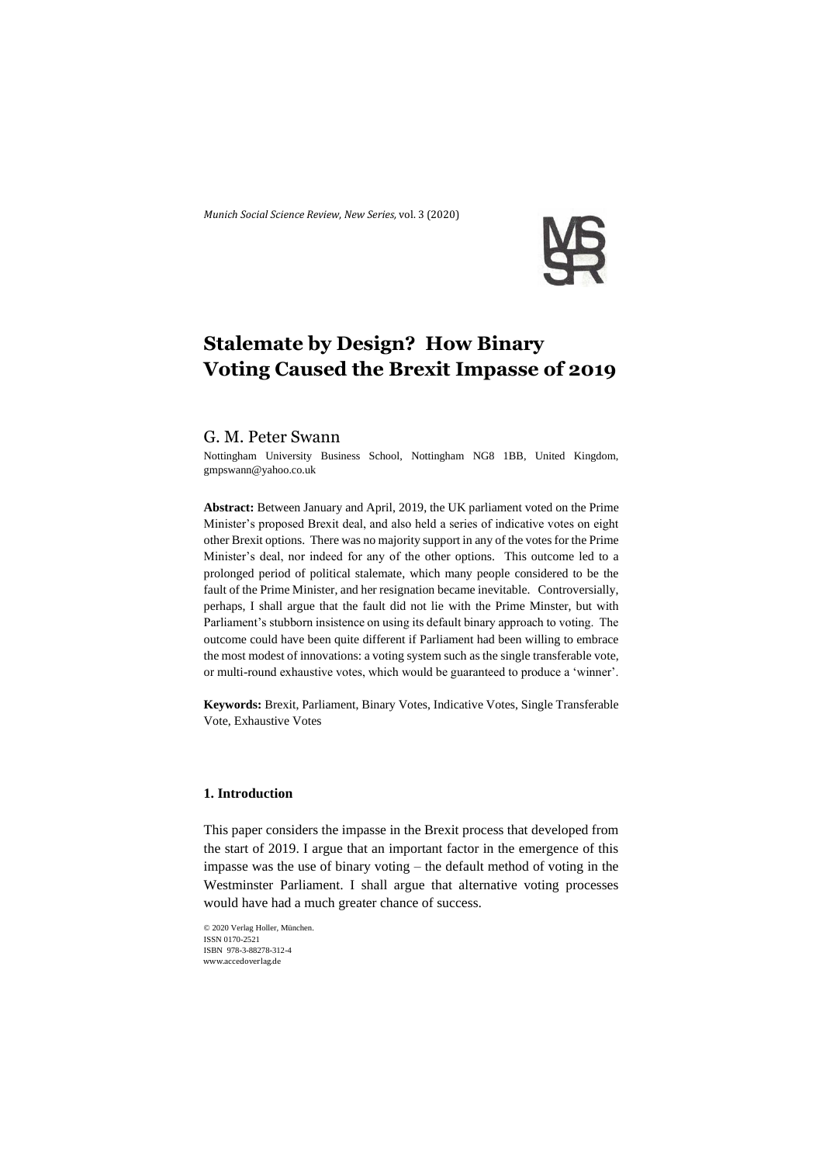*Munich Social Science Review*, *New Series,* vol. 3 (2020)



# **Stalemate by Design? How Binary Voting Caused the Brexit Impasse of 2019**

#### G. M. Peter Swann

Nottingham University Business School, Nottingham NG8 1BB, United Kingdom, gmpswann@yahoo.co.uk

**Abstract:** Between January and April, 2019, the UK parliament voted on the Prime Minister's proposed Brexit deal, and also held a series of indicative votes on eight other Brexit options. There was no majority support in any of the votes for the Prime Minister's deal, nor indeed for any of the other options. This outcome led to a prolonged period of political stalemate, which many people considered to be the fault of the Prime Minister, and her resignation became inevitable. Controversially, perhaps, I shall argue that the fault did not lie with the Prime Minster, but with Parliament's stubborn insistence on using its default binary approach to voting. The outcome could have been quite different if Parliament had been willing to embrace the most modest of innovations: a voting system such as the single transferable vote, or multi-round exhaustive votes, which would be guaranteed to produce a 'winner'.

**Keywords:** Brexit, Parliament, Binary Votes, Indicative Votes, Single Transferable Vote, Exhaustive Votes

# **1. Introduction**

This paper considers the impasse in the Brexit process that developed from the start of 2019. I argue that an important factor in the emergence of this impasse was the use of binary voting – the default method of voting in the Westminster Parliament. I shall argue that alternative voting processes would have had a much greater chance of success.

```
© 2020 Verlag Holler, München.
ISSN 0170-2521 
ISBN 978-3-88278-312-4
www.accedoverlag.de
```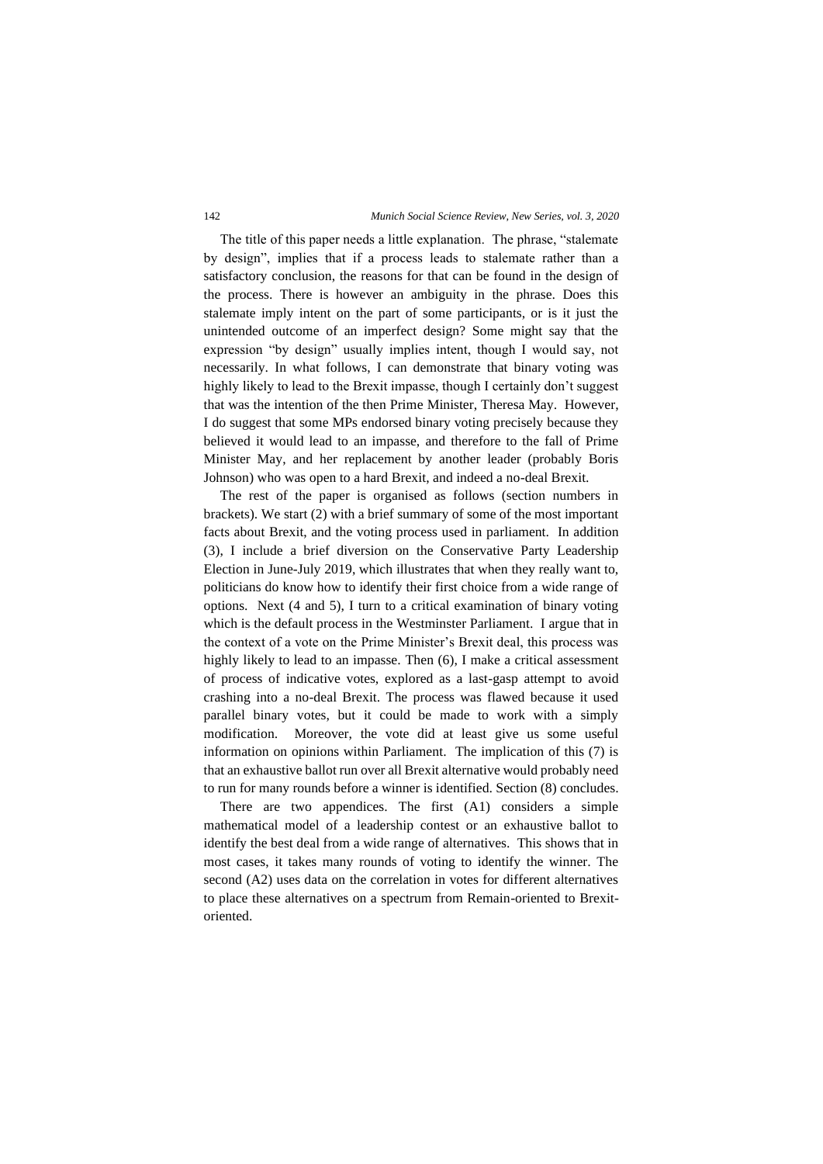#### 142 *Munich Social Science Review, New Series, vol. 3, 2020*

The title of this paper needs a little explanation. The phrase, "stalemate by design", implies that if a process leads to stalemate rather than a satisfactory conclusion, the reasons for that can be found in the design of the process. There is however an ambiguity in the phrase. Does this stalemate imply intent on the part of some participants, or is it just the unintended outcome of an imperfect design? Some might say that the expression "by design" usually implies intent, though I would say, not necessarily. In what follows, I can demonstrate that binary voting was highly likely to lead to the Brexit impasse, though I certainly don't suggest that was the intention of the then Prime Minister, Theresa May. However, I do suggest that some MPs endorsed binary voting precisely because they believed it would lead to an impasse, and therefore to the fall of Prime Minister May, and her replacement by another leader (probably Boris Johnson) who was open to a hard Brexit, and indeed a no-deal Brexit.

The rest of the paper is organised as follows (section numbers in brackets). We start (2) with a brief summary of some of the most important facts about Brexit, and the voting process used in parliament. In addition (3), I include a brief diversion on the Conservative Party Leadership Election in June-July 2019, which illustrates that when they really want to, politicians do know how to identify their first choice from a wide range of options. Next (4 and 5), I turn to a critical examination of binary voting which is the default process in the Westminster Parliament. I argue that in the context of a vote on the Prime Minister's Brexit deal, this process was highly likely to lead to an impasse. Then (6), I make a critical assessment of process of indicative votes, explored as a last-gasp attempt to avoid crashing into a no-deal Brexit. The process was flawed because it used parallel binary votes, but it could be made to work with a simply modification. Moreover, the vote did at least give us some useful information on opinions within Parliament. The implication of this (7) is that an exhaustive ballot run over all Brexit alternative would probably need to run for many rounds before a winner is identified. Section (8) concludes.

There are two appendices. The first (A1) considers a simple mathematical model of a leadership contest or an exhaustive ballot to identify the best deal from a wide range of alternatives. This shows that in most cases, it takes many rounds of voting to identify the winner. The second (A2) uses data on the correlation in votes for different alternatives to place these alternatives on a spectrum from Remain-oriented to Brexitoriented.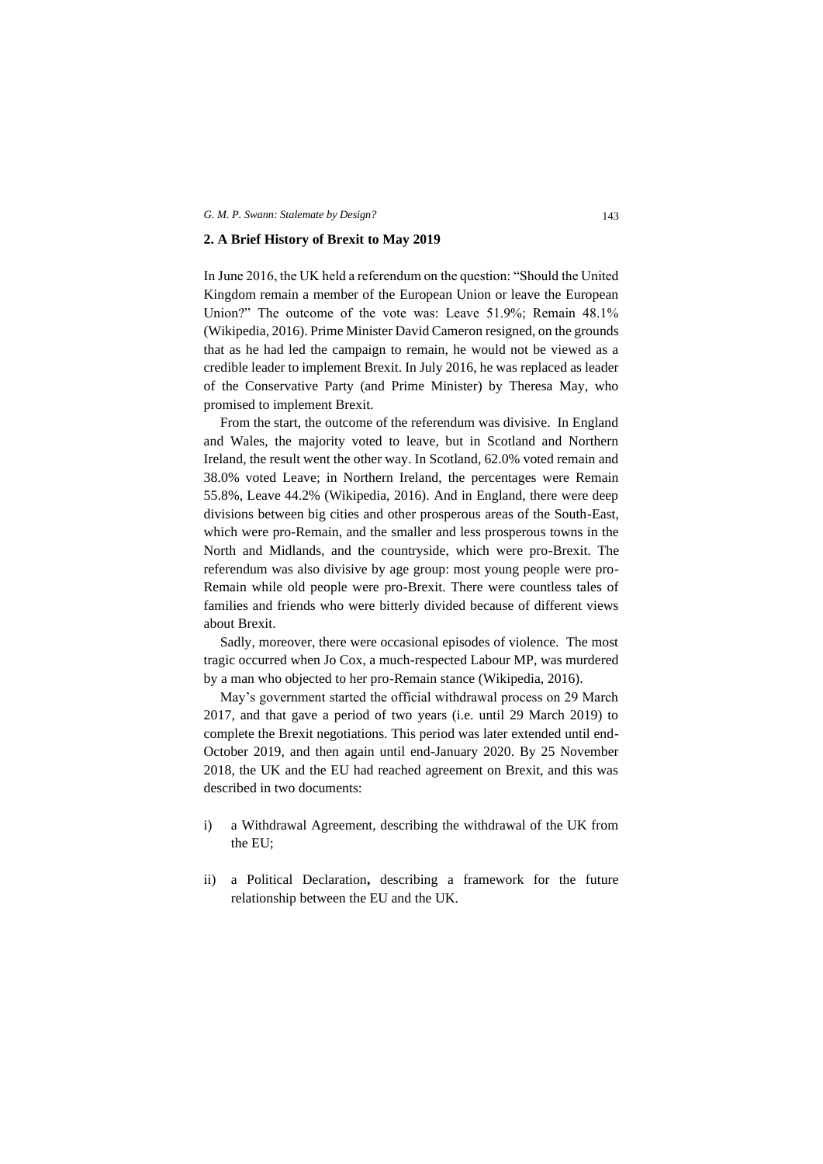#### **2. A Brief History of Brexit to May 2019**

In June 2016, the UK held a referendum on the question: "Should the United Kingdom remain a member of the European Union or leave the European Union?" The outcome of the vote was: Leave 51.9%; Remain 48.1% (Wikipedia, 2016). Prime Minister David Cameron resigned, on the grounds that as he had led the campaign to remain, he would not be viewed as a credible leader to implement Brexit. In July 2016, he was replaced as leader of the Conservative Party (and Prime Minister) by Theresa May, who promised to implement Brexit.

From the start, the outcome of the referendum was divisive. In England and Wales, the majority voted to leave, but in Scotland and Northern Ireland, the result went the other way. In Scotland, 62.0% voted remain and 38.0% voted Leave; in Northern Ireland, the percentages were Remain 55.8%, Leave 44.2% (Wikipedia, 2016). And in England, there were deep divisions between big cities and other prosperous areas of the South-East, which were pro-Remain, and the smaller and less prosperous towns in the North and Midlands, and the countryside, which were pro-Brexit. The referendum was also divisive by age group: most young people were pro-Remain while old people were pro-Brexit. There were countless tales of families and friends who were bitterly divided because of different views about Brexit.

Sadly, moreover, there were occasional episodes of violence. The most tragic occurred when Jo Cox, a much-respected Labour MP, was murdered by a man who objected to her pro-Remain stance (Wikipedia, 2016).

May's government started the official withdrawal process on 29 March 2017, and that gave a period of two years (i.e. until 29 March 2019) to complete the Brexit negotiations. This period was later extended until end-October 2019, and then again until end-January 2020. By 25 November 2018, the UK and the EU had reached agreement on Brexit, and this was described in two documents:

- i) a Withdrawal Agreement, describing the withdrawal of the UK from the EU;
- ii) a Political Declaration**,** describing a framework for the future relationship between the EU and the UK.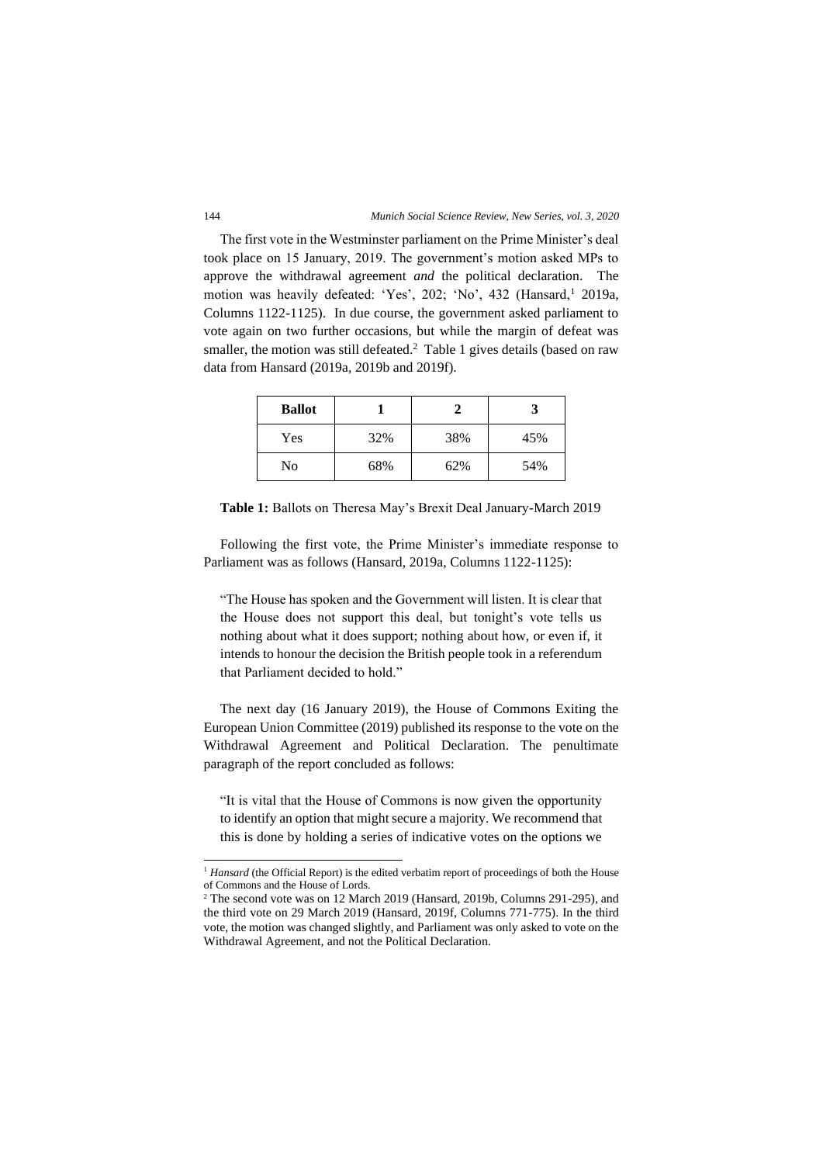The first vote in the Westminster parliament on the Prime Minister's deal took place on 15 January, 2019. The government's motion asked MPs to approve the withdrawal agreement *and* the political declaration. The motion was heavily defeated: 'Yes', 202; 'No', 432 (Hansard,<sup>1</sup> 2019a, Columns 1122-1125). In due course, the government asked parliament to vote again on two further occasions, but while the margin of defeat was smaller, the motion was still defeated.<sup>2</sup> Table 1 gives details (based on raw data from Hansard (2019a, 2019b and 2019f).

| <b>Ballot</b> |     |     |     |  |
|---------------|-----|-----|-----|--|
| Yes           | 32% | 38% | 45% |  |
| No            | 68% | 62% | 54% |  |

**Table 1:** Ballots on Theresa May's Brexit Deal January-March 2019

Following the first vote, the Prime Minister's immediate response to Parliament was as follows (Hansard, 2019a, Columns 1122-1125):

"The House has spoken and the Government will listen. It is clear that the House does not support this deal, but tonight's vote tells us nothing about what it does support; nothing about how, or even if, it intends to honour the decision the British people took in a referendum that Parliament decided to hold."

The next day (16 January 2019), the House of Commons Exiting the European Union Committee (2019) published its response to the vote on the Withdrawal Agreement and Political Declaration. The penultimate paragraph of the report concluded as follows:

"It is vital that the House of Commons is now given the opportunity to identify an option that might secure a majority. We recommend that this is done by holding a series of indicative votes on the options we

<sup>&</sup>lt;sup>1</sup> *Hansard* (the Official Report) is the edited verbatim report of proceedings of both the House of Commons and the House of Lords.

<sup>2</sup> The second vote was on 12 March 2019 (Hansard, 2019b, Columns 291-295), and the third vote on 29 March 2019 (Hansard, 2019f, Columns 771-775). In the third vote, the motion was changed slightly, and Parliament was only asked to vote on the Withdrawal Agreement, and not the Political Declaration.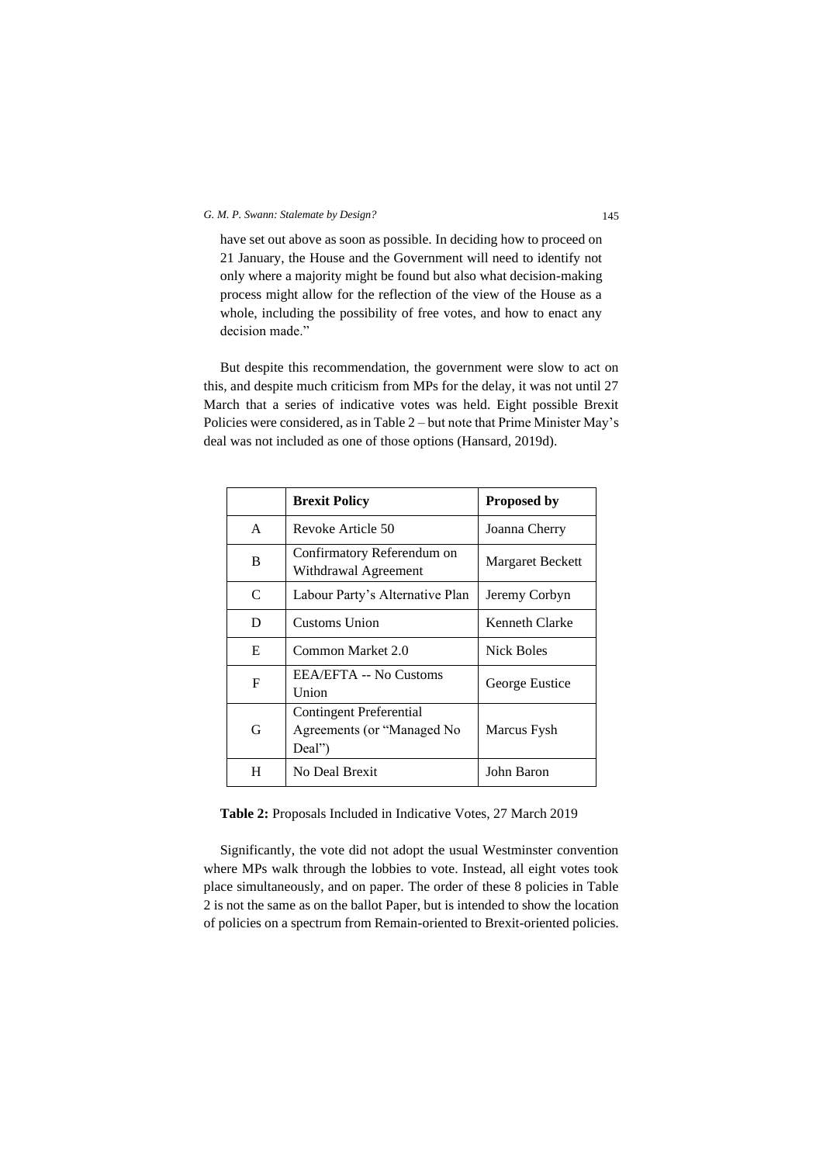have set out above as soon as possible. In deciding how to proceed on 21 January, the House and the Government will need to identify not only where a majority might be found but also what decision-making process might allow for the reflection of the view of the House as a whole, including the possibility of free votes, and how to enact any decision made."

But despite this recommendation, the government were slow to act on this, and despite much criticism from MPs for the delay, it was not until 27 March that a series of indicative votes was held. Eight possible Brexit Policies were considered, as in Table 2 – but note that Prime Minister May's deal was not included as one of those options (Hansard, 2019d).

|   | <b>Brexit Policy</b>                                                   | Proposed by      |
|---|------------------------------------------------------------------------|------------------|
| A | Revoke Article 50                                                      | Joanna Cherry    |
| B | Confirmatory Referendum on<br>Withdrawal Agreement                     | Margaret Beckett |
| C | Labour Party's Alternative Plan                                        | Jeremy Corbyn    |
| D | Customs Union                                                          | Kenneth Clarke   |
| E | Common Market 2.0                                                      | Nick Boles       |
| F | EEA/EFTA -- No Customs<br>Union                                        | George Eustice   |
| G | <b>Contingent Preferential</b><br>Agreements (or "Managed No<br>Deal") | Marcus Fysh      |
| H | No Deal Brexit                                                         | John Baron       |

**Table 2:** Proposals Included in Indicative Votes, 27 March 2019

Significantly, the vote did not adopt the usual Westminster convention where MPs walk through the lobbies to vote. Instead, all eight votes took place simultaneously, and on paper. The order of these 8 policies in Table 2 is not the same as on the ballot Paper, but is intended to show the location of policies on a spectrum from Remain-oriented to Brexit-oriented policies.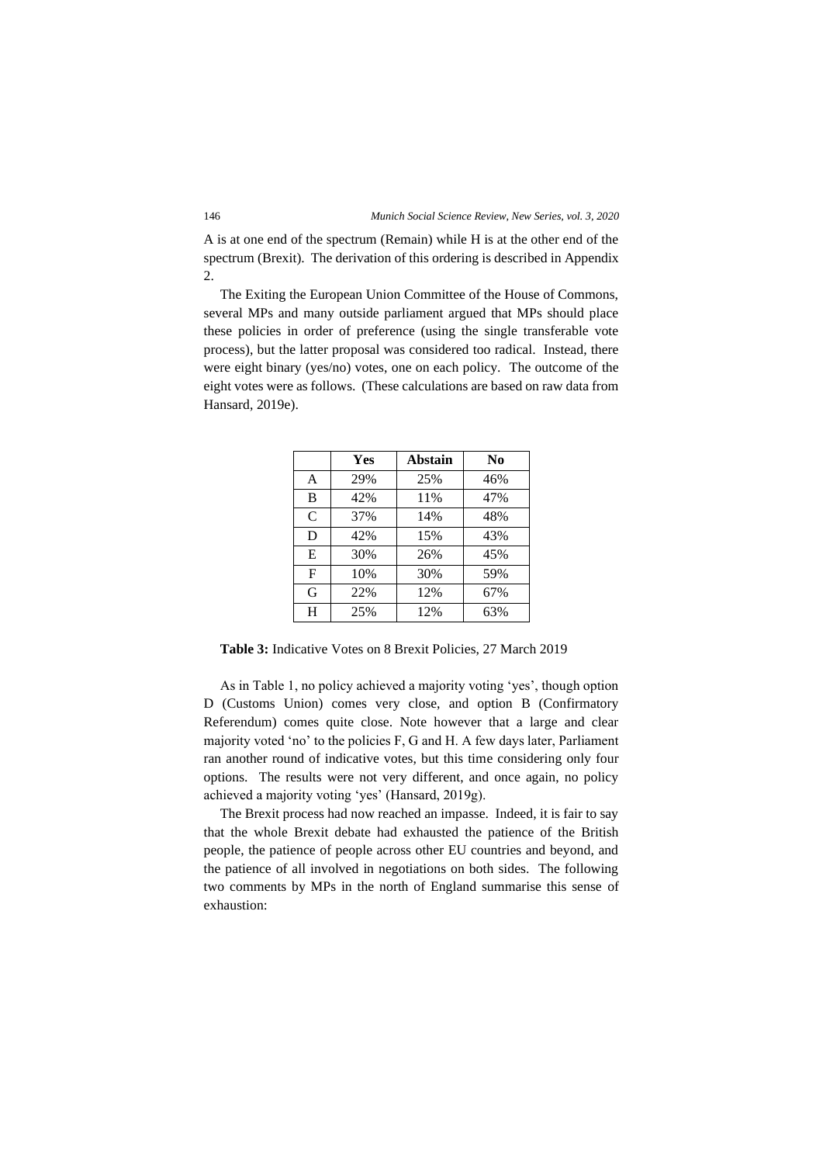A is at one end of the spectrum (Remain) while H is at the other end of the spectrum (Brexit). The derivation of this ordering is described in Appendix 2.

The Exiting the European Union Committee of the House of Commons, several MPs and many outside parliament argued that MPs should place these policies in order of preference (using the single transferable vote process), but the latter proposal was considered too radical. Instead, there were eight binary (yes/no) votes, one on each policy. The outcome of the eight votes were as follows. (These calculations are based on raw data from Hansard, 2019e).

|               | Yes | Abstain | N <sub>0</sub> |
|---------------|-----|---------|----------------|
| A             | 29% | 25%     | 46%            |
| B             | 42% | 11%     | 47%            |
| $\mathcal{C}$ | 37% | 14%     | 48%            |
| D             | 42% | 15%     | 43%            |
| E             | 30% | 26%     | 45%            |
| $\mathbf{F}$  | 10% | 30%     | 59%            |
| G             | 22% | 12%     | 67%            |
| H             | 25% | 12%     | 63%            |

**Table 3:** Indicative Votes on 8 Brexit Policies, 27 March 2019

As in Table 1, no policy achieved a majority voting 'yes', though option D (Customs Union) comes very close, and option B (Confirmatory Referendum) comes quite close. Note however that a large and clear majority voted 'no' to the policies F, G and H. A few days later, Parliament ran another round of indicative votes, but this time considering only four options. The results were not very different, and once again, no policy achieved a majority voting 'yes' (Hansard, 2019g).

The Brexit process had now reached an impasse. Indeed, it is fair to say that the whole Brexit debate had exhausted the patience of the British people, the patience of people across other EU countries and beyond, and the patience of all involved in negotiations on both sides. The following two comments by MPs in the north of England summarise this sense of exhaustion: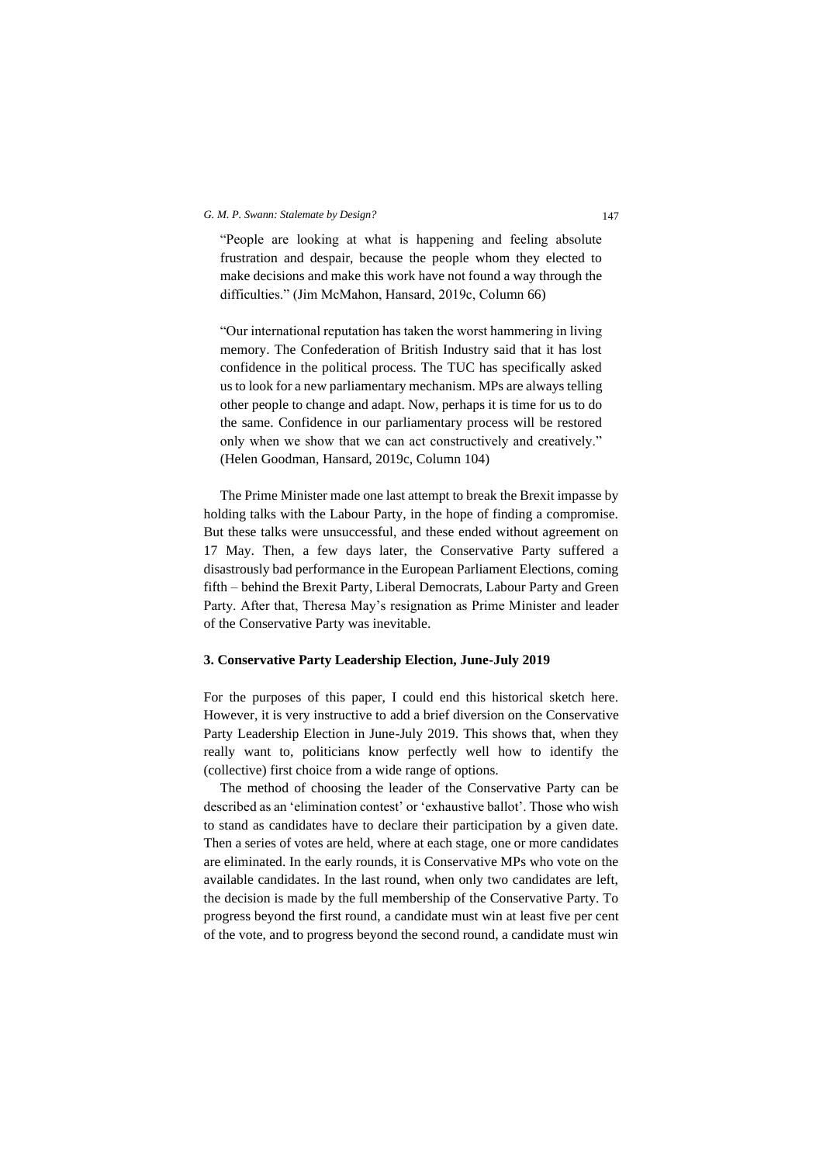"People are looking at what is happening and feeling absolute frustration and despair, because the people whom they elected to make decisions and make this work have not found a way through the difficulties." (Jim McMahon, Hansard, 2019c, Column 66)

"Our international reputation has taken the worst hammering in living memory. The Confederation of British Industry said that it has lost confidence in the political process. The TUC has specifically asked us to look for a new parliamentary mechanism. MPs are always telling other people to change and adapt. Now, perhaps it is time for us to do the same. Confidence in our parliamentary process will be restored only when we show that we can act constructively and creatively." (Helen Goodman, Hansard, 2019c, Column 104)

The Prime Minister made one last attempt to break the Brexit impasse by holding talks with the Labour Party, in the hope of finding a compromise. But these talks were unsuccessful, and these ended without agreement on 17 May. Then, a few days later, the Conservative Party suffered a disastrously bad performance in the European Parliament Elections, coming fifth – behind the Brexit Party, Liberal Democrats, Labour Party and Green Party. After that, Theresa May's resignation as Prime Minister and leader of the Conservative Party was inevitable.

# **3. Conservative Party Leadership Election, June-July 2019**

For the purposes of this paper, I could end this historical sketch here. However, it is very instructive to add a brief diversion on the Conservative Party Leadership Election in June-July 2019. This shows that, when they really want to, politicians know perfectly well how to identify the (collective) first choice from a wide range of options.

The method of choosing the leader of the Conservative Party can be described as an 'elimination contest' or 'exhaustive ballot'. Those who wish to stand as candidates have to declare their participation by a given date. Then a series of votes are held, where at each stage, one or more candidates are eliminated. In the early rounds, it is Conservative MPs who vote on the available candidates. In the last round, when only two candidates are left, the decision is made by the full membership of the Conservative Party. To progress beyond the first round, a candidate must win at least five per cent of the vote, and to progress beyond the second round, a candidate must win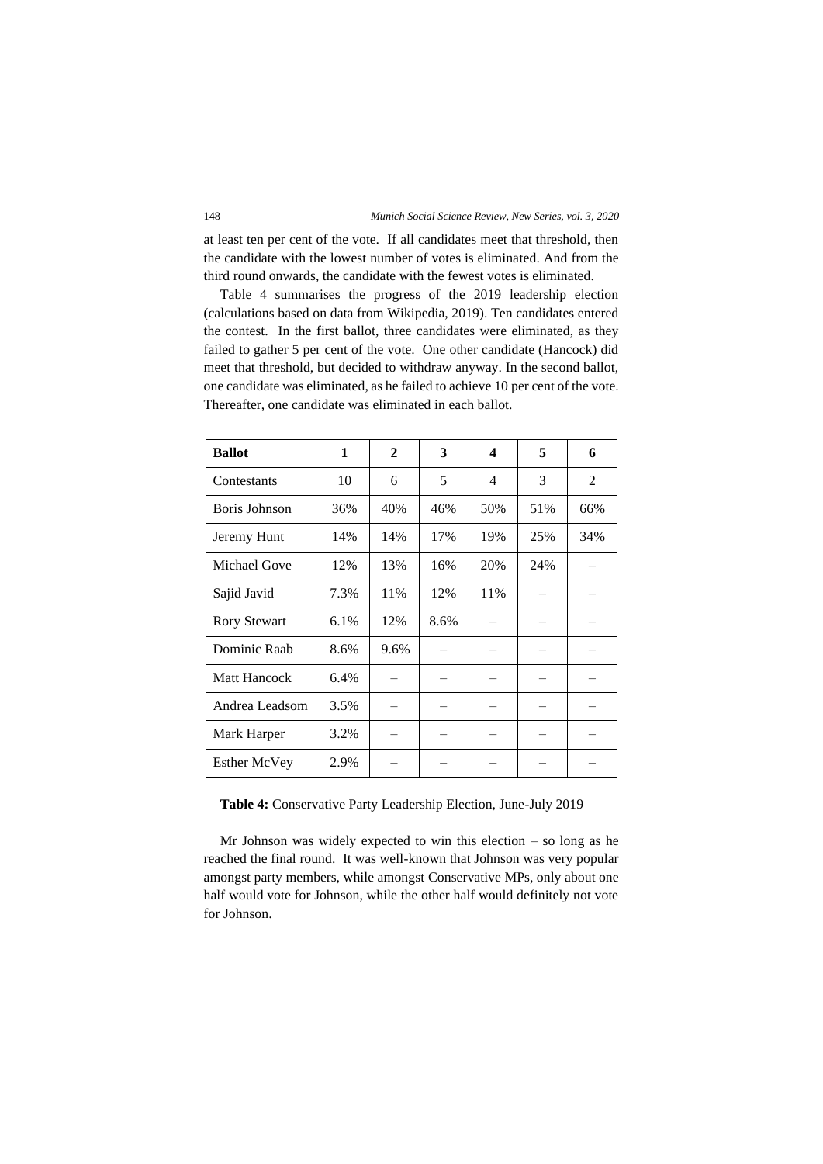at least ten per cent of the vote. If all candidates meet that threshold, then the candidate with the lowest number of votes is eliminated. And from the third round onwards, the candidate with the fewest votes is eliminated.

Table 4 summarises the progress of the 2019 leadership election (calculations based on data from Wikipedia, 2019). Ten candidates entered the contest. In the first ballot, three candidates were eliminated, as they failed to gather 5 per cent of the vote. One other candidate (Hancock) did meet that threshold, but decided to withdraw anyway. In the second ballot, one candidate was eliminated, as he failed to achieve 10 per cent of the vote. Thereafter, one candidate was eliminated in each ballot.

| <b>Ballot</b>       | 1    | $\mathbf{2}$ | 3    | $\boldsymbol{4}$ | 5   | 6   |
|---------------------|------|--------------|------|------------------|-----|-----|
| Contestants         | 10   | 6            | 5    | $\overline{4}$   | 3   | 2   |
| Boris Johnson       | 36%  | 40%          | 46%  | 50%              | 51% | 66% |
| Jeremy Hunt         | 14%  | 14%          | 17%  | 19%              | 25% | 34% |
| Michael Gove        | 12%  | 13%          | 16%  | 20%              | 24% |     |
| Sajid Javid         | 7.3% | 11%          | 12%  | 11%              |     |     |
| <b>Rory Stewart</b> | 6.1% | 12%          | 8.6% |                  |     |     |
| Dominic Raab        | 8.6% | 9.6%         |      |                  |     |     |
| <b>Matt Hancock</b> | 6.4% |              |      |                  |     |     |
| Andrea Leadsom      | 3.5% |              |      |                  |     |     |
| Mark Harper         | 3.2% |              |      |                  |     |     |
| <b>Esther McVey</b> | 2.9% |              |      |                  |     |     |

**Table 4:** Conservative Party Leadership Election, June-July 2019

Mr Johnson was widely expected to win this election  $-$  so long as he reached the final round. It was well-known that Johnson was very popular amongst party members, while amongst Conservative MPs, only about one half would vote for Johnson, while the other half would definitely not vote for Johnson.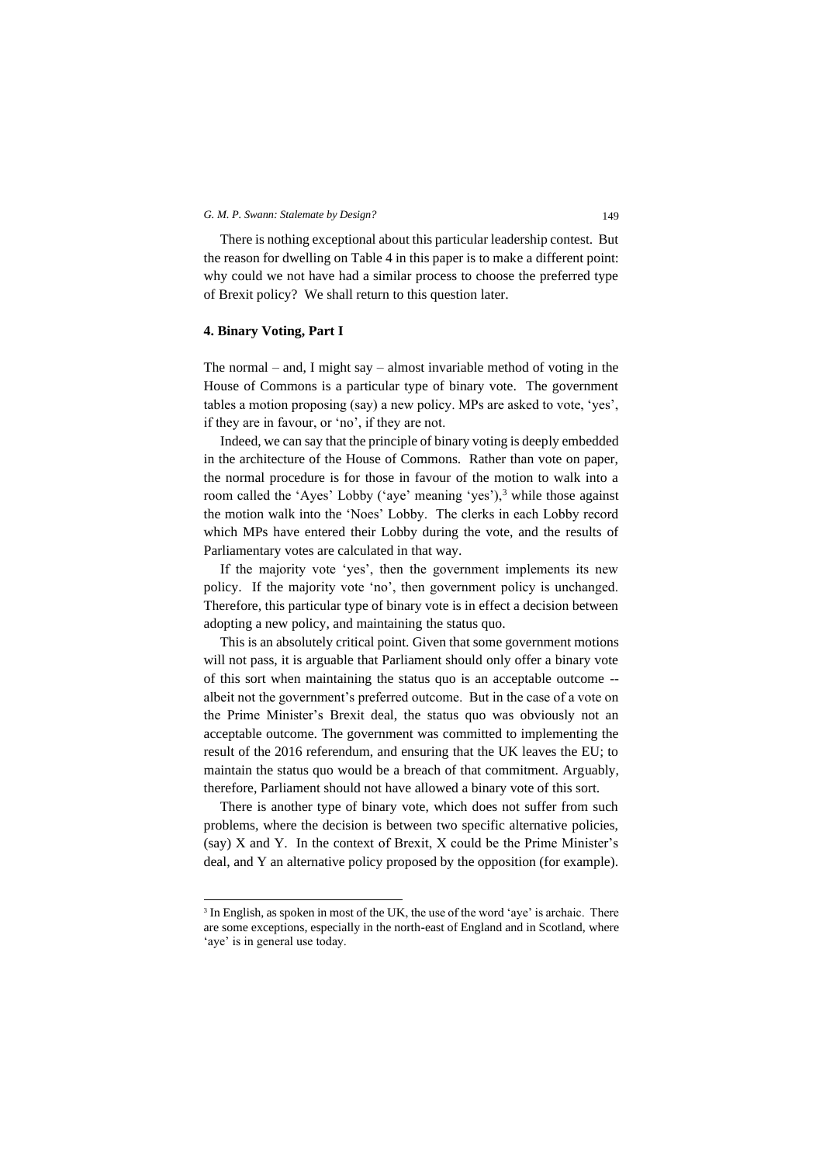There is nothing exceptional about this particular leadership contest. But the reason for dwelling on Table 4 in this paper is to make a different point: why could we not have had a similar process to choose the preferred type of Brexit policy? We shall return to this question later.

# **4. Binary Voting, Part I**

The normal – and, I might say – almost invariable method of voting in the House of Commons is a particular type of binary vote. The government tables a motion proposing (say) a new policy. MPs are asked to vote, 'yes', if they are in favour, or 'no', if they are not.

Indeed, we can say that the principle of binary voting is deeply embedded in the architecture of the House of Commons. Rather than vote on paper, the normal procedure is for those in favour of the motion to walk into a room called the 'Ayes' Lobby ('aye' meaning 'yes'),<sup>3</sup> while those against the motion walk into the 'Noes' Lobby. The clerks in each Lobby record which MPs have entered their Lobby during the vote, and the results of Parliamentary votes are calculated in that way.

If the majority vote 'yes', then the government implements its new policy. If the majority vote 'no', then government policy is unchanged. Therefore, this particular type of binary vote is in effect a decision between adopting a new policy, and maintaining the status quo.

This is an absolutely critical point. Given that some government motions will not pass, it is arguable that Parliament should only offer a binary vote of this sort when maintaining the status quo is an acceptable outcome - albeit not the government's preferred outcome. But in the case of a vote on the Prime Minister's Brexit deal, the status quo was obviously not an acceptable outcome. The government was committed to implementing the result of the 2016 referendum, and ensuring that the UK leaves the EU; to maintain the status quo would be a breach of that commitment. Arguably, therefore, Parliament should not have allowed a binary vote of this sort.

There is another type of binary vote, which does not suffer from such problems, where the decision is between two specific alternative policies, (say) X and Y. In the context of Brexit, X could be the Prime Minister's deal, and Y an alternative policy proposed by the opposition (for example).

<sup>&</sup>lt;sup>3</sup> In English, as spoken in most of the UK, the use of the word 'aye' is archaic. There are some exceptions, especially in the north-east of England and in Scotland, where 'aye' is in general use today.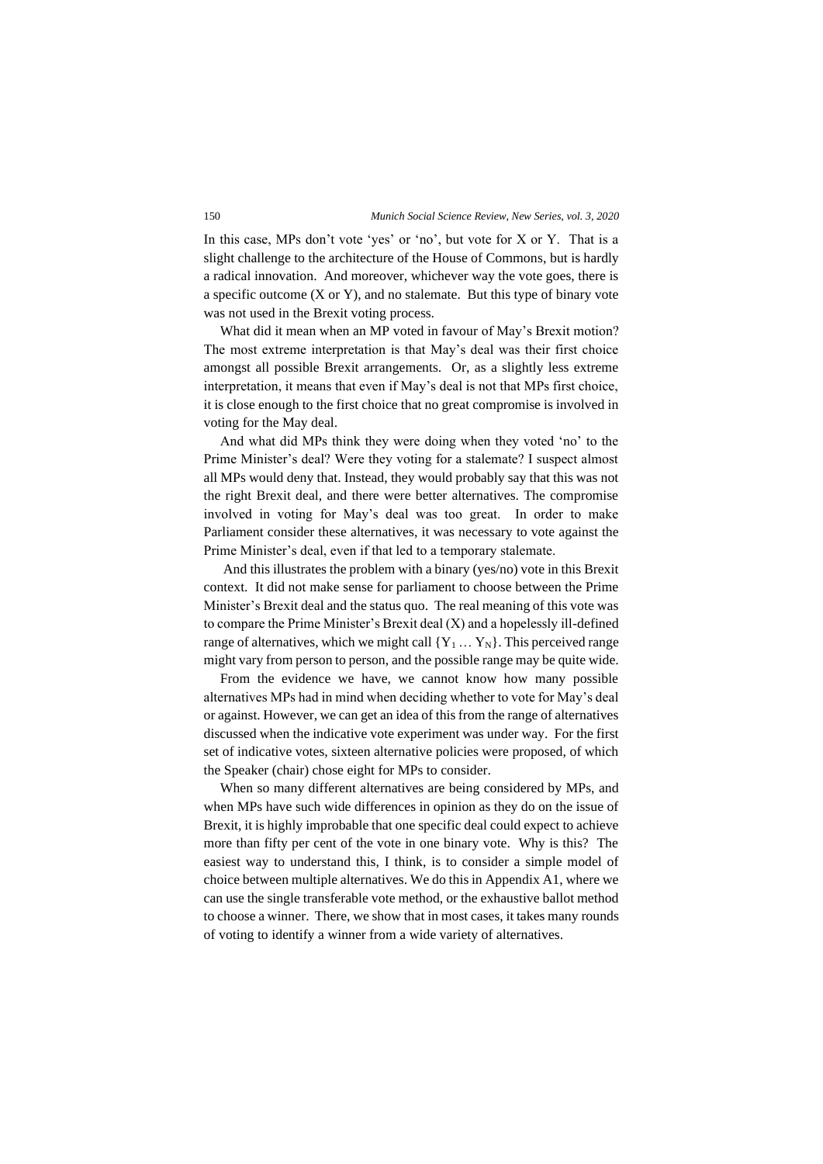In this case, MPs don't vote 'yes' or 'no', but vote for X or Y. That is a slight challenge to the architecture of the House of Commons, but is hardly a radical innovation. And moreover, whichever way the vote goes, there is a specific outcome  $(X \text{ or } Y)$ , and no stalemate. But this type of binary vote was not used in the Brexit voting process.

What did it mean when an MP voted in favour of May's Brexit motion? The most extreme interpretation is that May's deal was their first choice amongst all possible Brexit arrangements. Or, as a slightly less extreme interpretation, it means that even if May's deal is not that MPs first choice, it is close enough to the first choice that no great compromise is involved in voting for the May deal.

And what did MPs think they were doing when they voted 'no' to the Prime Minister's deal? Were they voting for a stalemate? I suspect almost all MPs would deny that. Instead, they would probably say that this was not the right Brexit deal, and there were better alternatives. The compromise involved in voting for May's deal was too great. In order to make Parliament consider these alternatives, it was necessary to vote against the Prime Minister's deal, even if that led to a temporary stalemate.

And this illustrates the problem with a binary (yes/no) vote in this Brexit context. It did not make sense for parliament to choose between the Prime Minister's Brexit deal and the status quo. The real meaning of this vote was to compare the Prime Minister's Brexit deal (X) and a hopelessly ill-defined range of alternatives, which we might call  ${Y_1 \dots Y_N}$ . This perceived range might vary from person to person, and the possible range may be quite wide.

From the evidence we have, we cannot know how many possible alternatives MPs had in mind when deciding whether to vote for May's deal or against. However, we can get an idea of this from the range of alternatives discussed when the indicative vote experiment was under way. For the first set of indicative votes, sixteen alternative policies were proposed, of which the Speaker (chair) chose eight for MPs to consider.

When so many different alternatives are being considered by MPs, and when MPs have such wide differences in opinion as they do on the issue of Brexit, it is highly improbable that one specific deal could expect to achieve more than fifty per cent of the vote in one binary vote. Why is this? The easiest way to understand this, I think, is to consider a simple model of choice between multiple alternatives. We do this in Appendix A1, where we can use the single transferable vote method, or the exhaustive ballot method to choose a winner. There, we show that in most cases, it takes many rounds of voting to identify a winner from a wide variety of alternatives.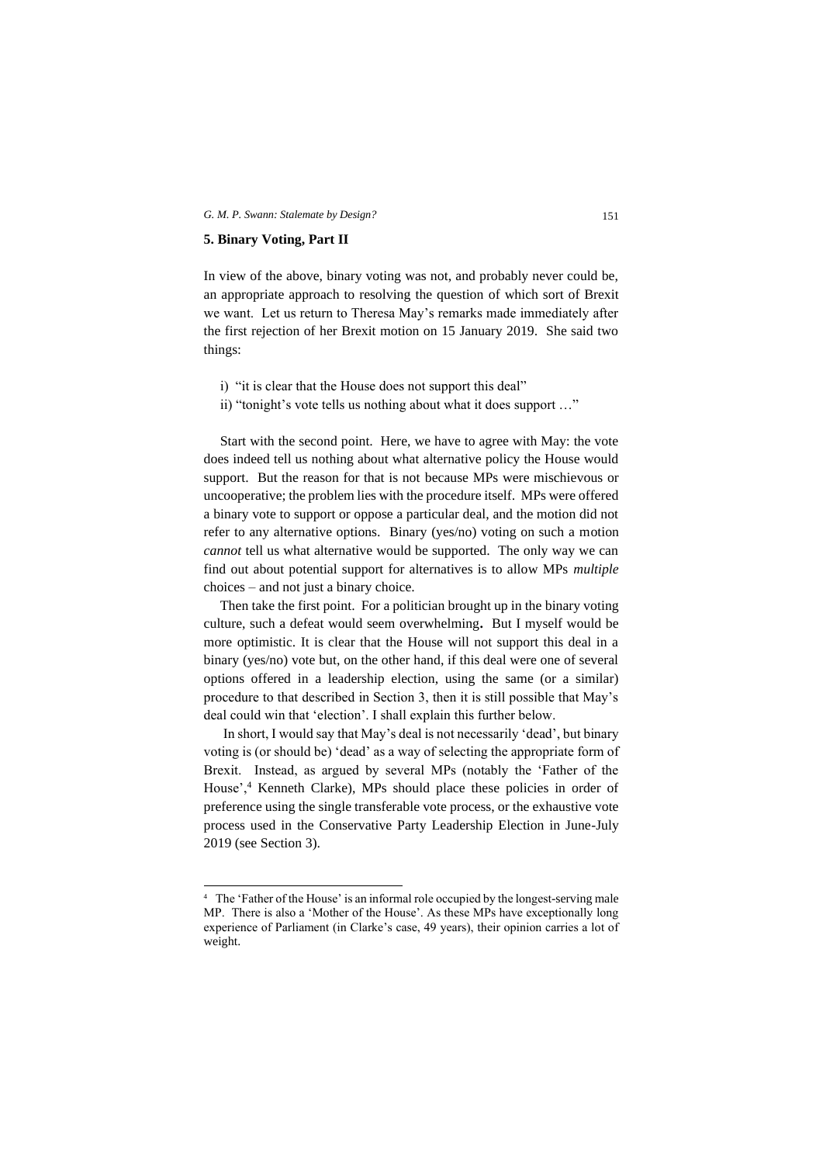#### **5. Binary Voting, Part II**

In view of the above, binary voting was not, and probably never could be, an appropriate approach to resolving the question of which sort of Brexit we want. Let us return to Theresa May's remarks made immediately after the first rejection of her Brexit motion on 15 January 2019. She said two things:

- i) "it is clear that the House does not support this deal"
- ii) "tonight's vote tells us nothing about what it does support …"

Start with the second point. Here, we have to agree with May: the vote does indeed tell us nothing about what alternative policy the House would support. But the reason for that is not because MPs were mischievous or uncooperative; the problem lies with the procedure itself. MPs were offered a binary vote to support or oppose a particular deal, and the motion did not refer to any alternative options. Binary (yes/no) voting on such a motion *cannot* tell us what alternative would be supported. The only way we can find out about potential support for alternatives is to allow MPs *multiple* choices – and not just a binary choice.

Then take the first point. For a politician brought up in the binary voting culture, such a defeat would seem overwhelming**.** But I myself would be more optimistic. It is clear that the House will not support this deal in a binary (yes/no) vote but, on the other hand, if this deal were one of several options offered in a leadership election, using the same (or a similar) procedure to that described in Section 3, then it is still possible that May's deal could win that 'election'. I shall explain this further below.

In short, I would say that May's deal is not necessarily 'dead', but binary voting is (or should be) 'dead' as a way of selecting the appropriate form of Brexit. Instead, as argued by several MPs (notably the 'Father of the House',<sup>4</sup> Kenneth Clarke), MPs should place these policies in order of preference using the single transferable vote process, or the exhaustive vote process used in the Conservative Party Leadership Election in June-July 2019 (see Section 3).

<sup>4</sup> The 'Father of the House' is an informal role occupied by the longest-serving male MP. There is also a 'Mother of the House'. As these MPs have exceptionally long experience of Parliament (in Clarke's case, 49 years), their opinion carries a lot of weight.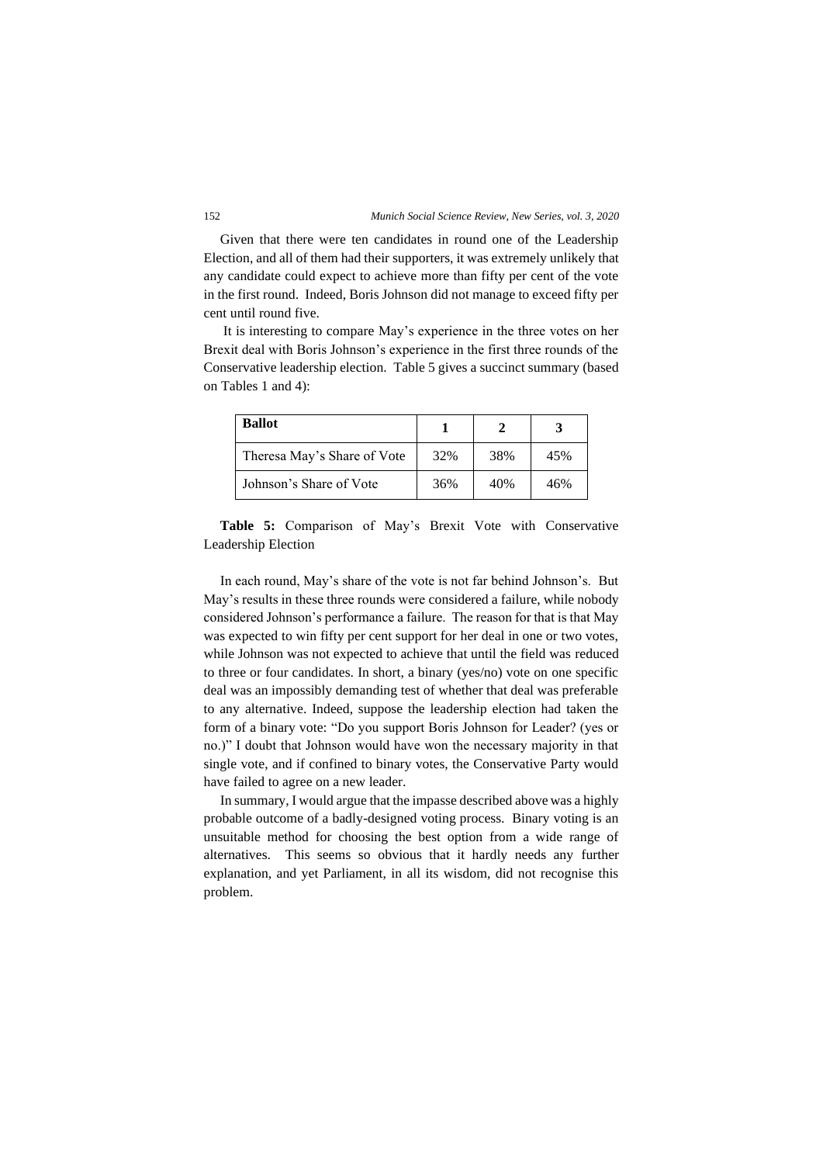Given that there were ten candidates in round one of the Leadership Election, and all of them had their supporters, it was extremely unlikely that any candidate could expect to achieve more than fifty per cent of the vote in the first round. Indeed, Boris Johnson did not manage to exceed fifty per cent until round five.

It is interesting to compare May's experience in the three votes on her Brexit deal with Boris Johnson's experience in the first three rounds of the Conservative leadership election. Table 5 gives a succinct summary (based on Tables 1 and 4):

| <b>Ballot</b>               |     |     |     |
|-----------------------------|-----|-----|-----|
| Theresa May's Share of Vote | 32% | 38% | 45% |
| Johnson's Share of Vote     | 36% | 40% | 46% |

**Table 5:** Comparison of May's Brexit Vote with Conservative Leadership Election

In each round, May's share of the vote is not far behind Johnson's. But May's results in these three rounds were considered a failure, while nobody considered Johnson's performance a failure. The reason for that is that May was expected to win fifty per cent support for her deal in one or two votes, while Johnson was not expected to achieve that until the field was reduced to three or four candidates. In short, a binary (yes/no) vote on one specific deal was an impossibly demanding test of whether that deal was preferable to any alternative. Indeed, suppose the leadership election had taken the form of a binary vote: "Do you support Boris Johnson for Leader? (yes or no.)" I doubt that Johnson would have won the necessary majority in that single vote, and if confined to binary votes, the Conservative Party would have failed to agree on a new leader.

In summary, I would argue that the impasse described above was a highly probable outcome of a badly-designed voting process. Binary voting is an unsuitable method for choosing the best option from a wide range of alternatives. This seems so obvious that it hardly needs any further explanation, and yet Parliament, in all its wisdom, did not recognise this problem.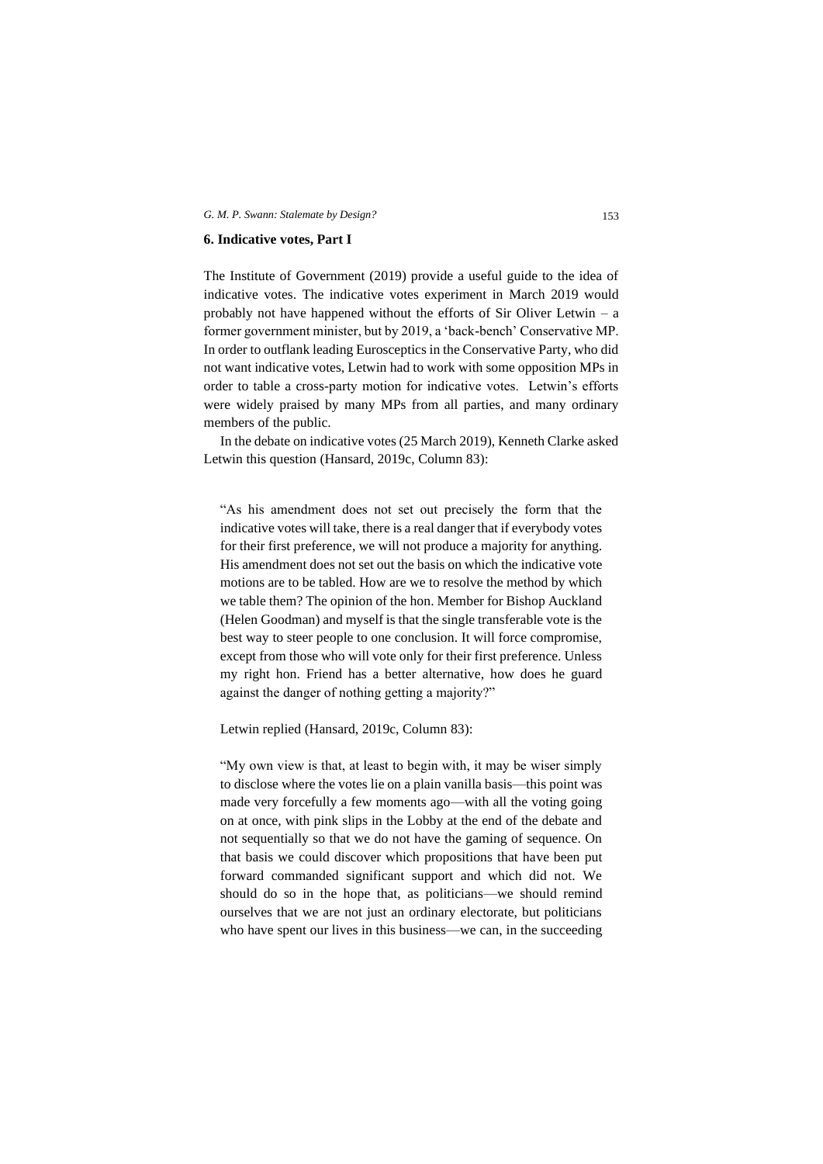#### **6. Indicative votes, Part I**

The Institute of Government (2019) provide a useful guide to the idea of indicative votes. The indicative votes experiment in March 2019 would probably not have happened without the efforts of Sir Oliver Letwin – a former government minister, but by 2019, a 'back-bench' Conservative MP. In order to outflank leading Eurosceptics in the Conservative Party, who did not want indicative votes, Letwin had to work with some opposition MPs in order to table a cross-party motion for indicative votes. Letwin's efforts were widely praised by many MPs from all parties, and many ordinary members of the public.

In the debate on indicative votes (25 March 2019), Kenneth Clarke asked Letwin this question (Hansard, 2019c, Column 83):

"As his amendment does not set out precisely the form that the indicative votes will take, there is a real danger that if everybody votes for their first preference, we will not produce a majority for anything. His amendment does not set out the basis on which the indicative vote motions are to be tabled. How are we to resolve the method by which we table them? The opinion of the hon. Member for Bishop Auckland (Helen Goodman) and myself is that the single transferable vote is the best way to steer people to one conclusion. It will force compromise, except from those who will vote only for their first preference. Unless my right hon. Friend has a better alternative, how does he guard against the danger of nothing getting a majority?"

Letwin replied (Hansard, 2019c, Column 83):

"My own view is that, at least to begin with, it may be wiser simply to disclose where the votes lie on a plain vanilla basis—this point was made very forcefully a few moments ago—with all the voting going on at once, with pink slips in the Lobby at the end of the debate and not sequentially so that we do not have the gaming of sequence. On that basis we could discover which propositions that have been put forward commanded significant support and which did not. We should do so in the hope that, as politicians—we should remind ourselves that we are not just an ordinary electorate, but politicians who have spent our lives in this business—we can, in the succeeding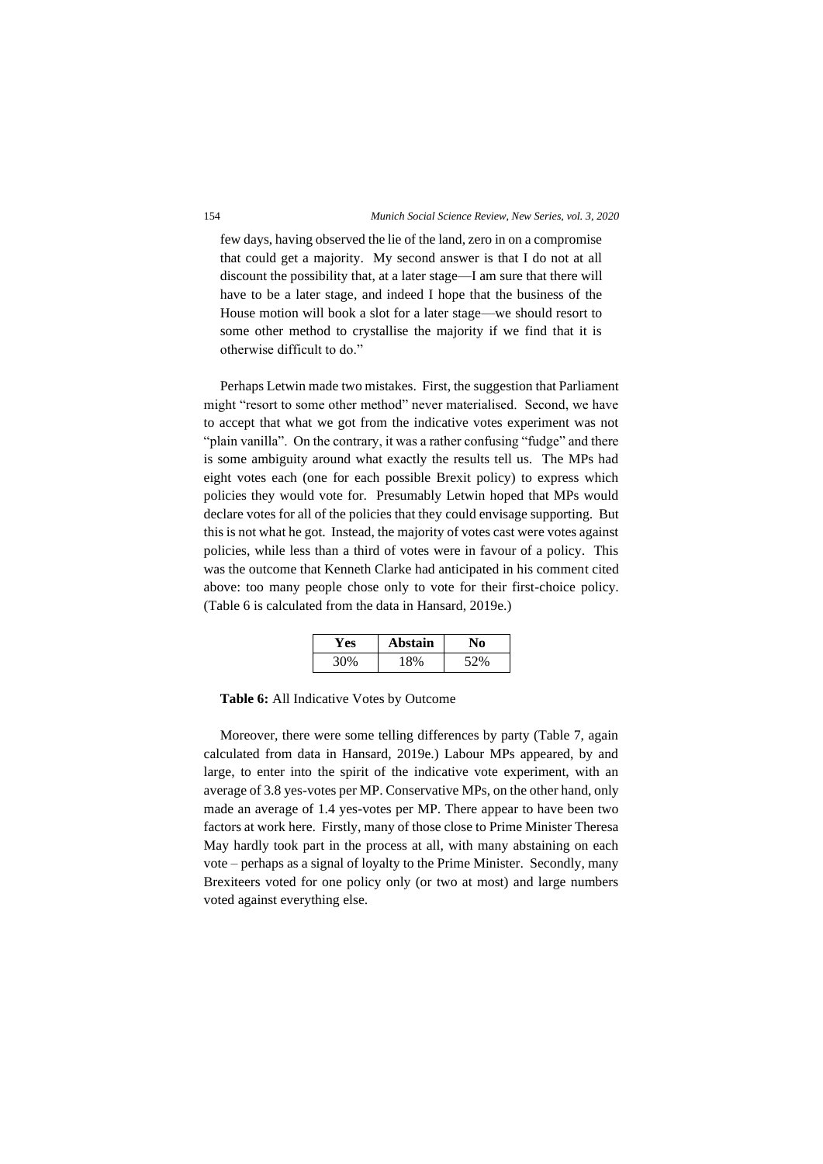few days, having observed the lie of the land, zero in on a compromise that could get a majority. My second answer is that I do not at all discount the possibility that, at a later stage—I am sure that there will have to be a later stage, and indeed I hope that the business of the House motion will book a slot for a later stage—we should resort to some other method to crystallise the majority if we find that it is otherwise difficult to do."

Perhaps Letwin made two mistakes. First, the suggestion that Parliament might "resort to some other method" never materialised. Second, we have to accept that what we got from the indicative votes experiment was not "plain vanilla". On the contrary, it was a rather confusing "fudge" and there is some ambiguity around what exactly the results tell us. The MPs had eight votes each (one for each possible Brexit policy) to express which policies they would vote for. Presumably Letwin hoped that MPs would declare votes for all of the policies that they could envisage supporting. But this is not what he got. Instead, the majority of votes cast were votes against policies, while less than a third of votes were in favour of a policy. This was the outcome that Kenneth Clarke had anticipated in his comment cited above: too many people chose only to vote for their first-choice policy. (Table 6 is calculated from the data in Hansard, 2019e.)

| . es | Abstain |     |
|------|---------|-----|
| 300  |         | 52% |

**Table 6:** All Indicative Votes by Outcome

Moreover, there were some telling differences by party (Table 7, again calculated from data in Hansard, 2019e.) Labour MPs appeared, by and large, to enter into the spirit of the indicative vote experiment, with an average of 3.8 yes-votes per MP. Conservative MPs, on the other hand, only made an average of 1.4 yes-votes per MP. There appear to have been two factors at work here. Firstly, many of those close to Prime Minister Theresa May hardly took part in the process at all, with many abstaining on each vote – perhaps as a signal of loyalty to the Prime Minister. Secondly, many Brexiteers voted for one policy only (or two at most) and large numbers voted against everything else.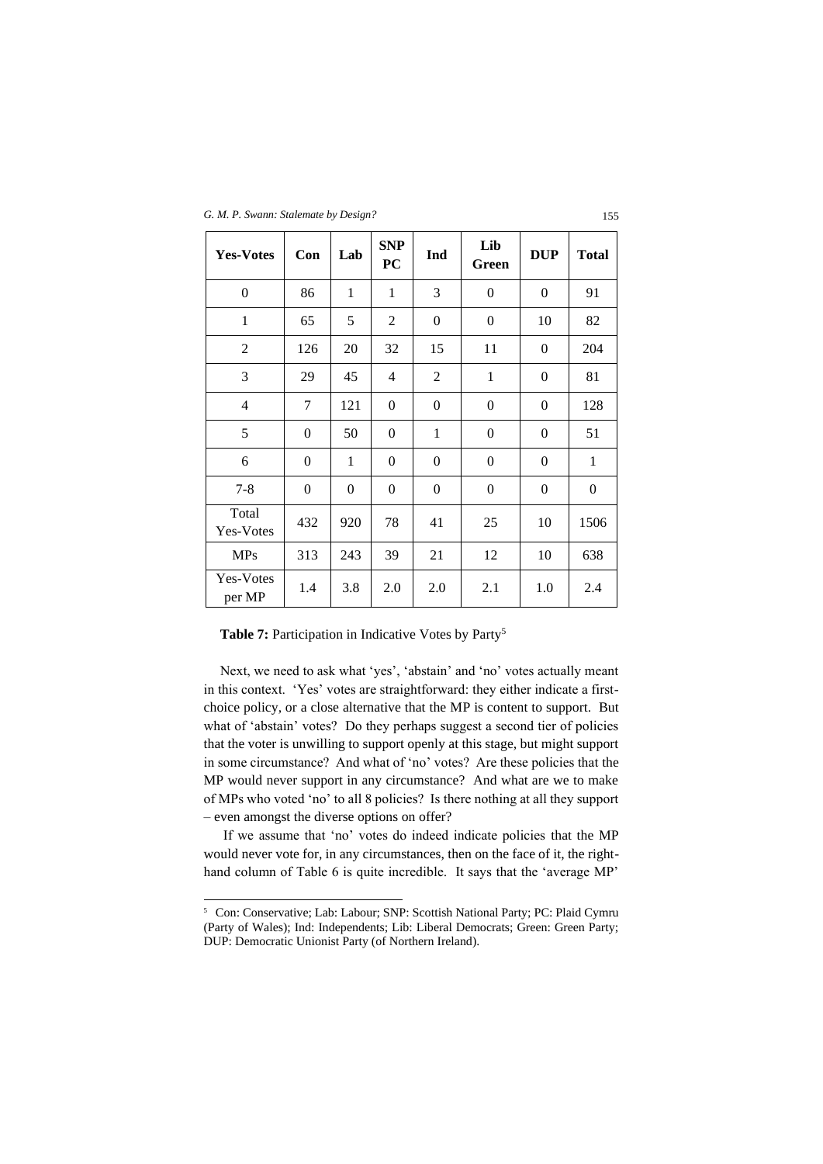*G. M. P. Swann: Stalemate by Design?* 155

| <b>Yes-Votes</b>    | Con              | Lab          | <b>SNP</b><br><b>PC</b> | Ind              | Lib<br>Green     | <b>DUP</b>       | <b>Total</b> |
|---------------------|------------------|--------------|-------------------------|------------------|------------------|------------------|--------------|
| $\boldsymbol{0}$    | 86               | $\mathbf{1}$ | $\mathbf{1}$            | 3                | $\overline{0}$   | $\boldsymbol{0}$ | 91           |
| $\mathbf{1}$        | 65               | 5            | $\overline{c}$          | $\boldsymbol{0}$ | $\boldsymbol{0}$ | 10               | 82           |
| $\overline{2}$      | 126              | 20           | 32                      | 15               | 11               | $\theta$         | 204          |
| 3                   | 29               | 45           | $\overline{4}$          | $\overline{2}$   | $\mathbf{1}$     | $\overline{0}$   | 81           |
| $\overline{4}$      | 7                | 121          | $\mathbf{0}$            | $\overline{0}$   | $\overline{0}$   | $\overline{0}$   | 128          |
| 5                   | $\mathbf{0}$     | 50           | $\mathbf{0}$            | 1                | $\overline{0}$   | $\overline{0}$   | 51           |
| 6                   | $\mathbf{0}$     | 1            | $\boldsymbol{0}$        | $\boldsymbol{0}$ | $\boldsymbol{0}$ | 0                | 1            |
| $7 - 8$             | $\boldsymbol{0}$ | 0            | $\boldsymbol{0}$        | $\theta$         | $\boldsymbol{0}$ | 0                | $\theta$     |
| Total<br>Yes-Votes  | 432              | 920          | 78                      | 41               | 25               | 10               | 1506         |
| <b>MPs</b>          | 313              | 243          | 39                      | 21               | 12               | 10               | 638          |
| Yes-Votes<br>per MP | 1.4              | 3.8          | 2.0                     | 2.0              | 2.1              | 1.0              | 2.4          |

Table 7: Participation in Indicative Votes by Party<sup>5</sup>

Next, we need to ask what 'yes', 'abstain' and 'no' votes actually meant in this context. 'Yes' votes are straightforward: they either indicate a firstchoice policy, or a close alternative that the MP is content to support. But what of 'abstain' votes? Do they perhaps suggest a second tier of policies that the voter is unwilling to support openly at this stage, but might support in some circumstance? And what of 'no' votes? Are these policies that the MP would never support in any circumstance? And what are we to make of MPs who voted 'no' to all 8 policies? Is there nothing at all they support – even amongst the diverse options on offer?

If we assume that 'no' votes do indeed indicate policies that the MP would never vote for, in any circumstances, then on the face of it, the righthand column of Table 6 is quite incredible. It says that the 'average MP'

<sup>5</sup> Con: Conservative; Lab: Labour; SNP: Scottish National Party; PC: Plaid Cymru (Party of Wales); Ind: Independents; Lib: Liberal Democrats; Green: Green Party; DUP: Democratic Unionist Party (of Northern Ireland).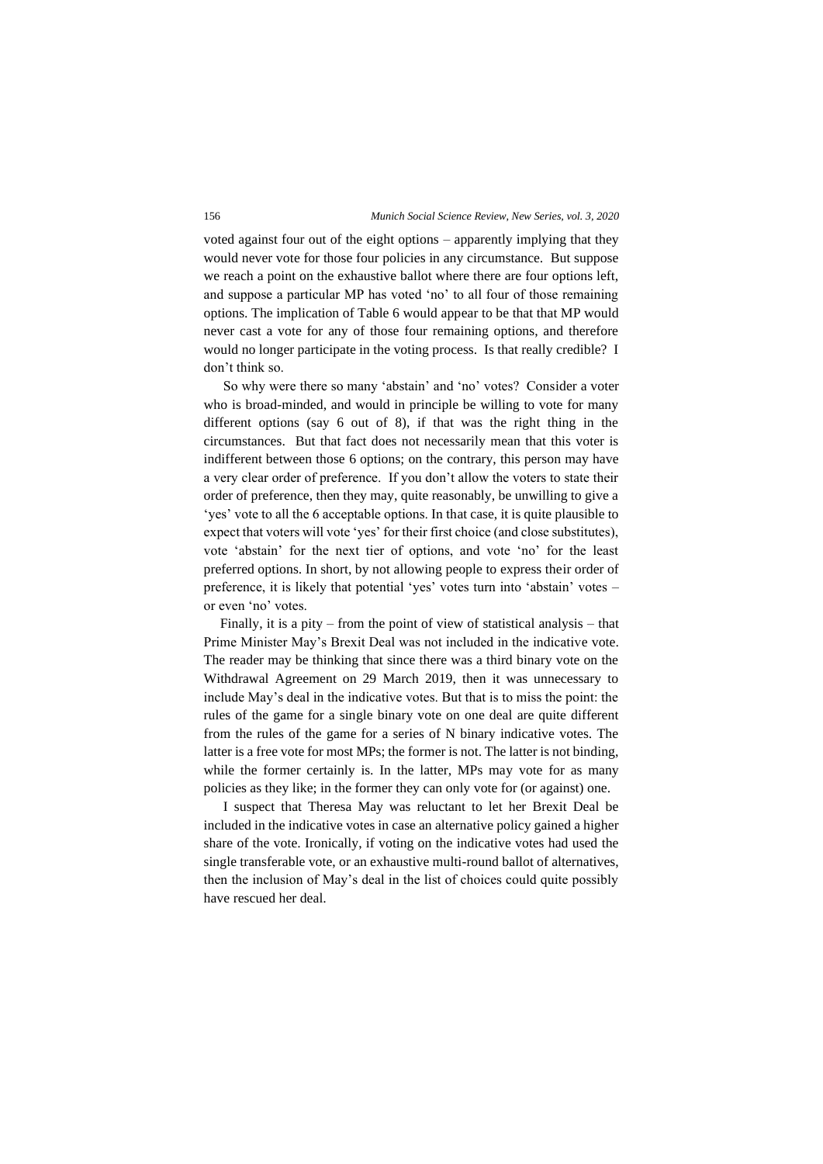voted against four out of the eight options – apparently implying that they would never vote for those four policies in any circumstance. But suppose we reach a point on the exhaustive ballot where there are four options left, and suppose a particular MP has voted 'no' to all four of those remaining options. The implication of Table 6 would appear to be that that MP would never cast a vote for any of those four remaining options, and therefore would no longer participate in the voting process. Is that really credible? I don't think so.

So why were there so many 'abstain' and 'no' votes? Consider a voter who is broad-minded, and would in principle be willing to vote for many different options (say 6 out of 8), if that was the right thing in the circumstances. But that fact does not necessarily mean that this voter is indifferent between those 6 options; on the contrary, this person may have a very clear order of preference. If you don't allow the voters to state their order of preference, then they may, quite reasonably, be unwilling to give a 'yes' vote to all the 6 acceptable options. In that case, it is quite plausible to expect that voters will vote 'yes' for their first choice (and close substitutes), vote 'abstain' for the next tier of options, and vote 'no' for the least preferred options. In short, by not allowing people to express their order of preference, it is likely that potential 'yes' votes turn into 'abstain' votes – or even 'no' votes.

Finally, it is a pity – from the point of view of statistical analysis – that Prime Minister May's Brexit Deal was not included in the indicative vote. The reader may be thinking that since there was a third binary vote on the Withdrawal Agreement on 29 March 2019, then it was unnecessary to include May's deal in the indicative votes. But that is to miss the point: the rules of the game for a single binary vote on one deal are quite different from the rules of the game for a series of N binary indicative votes. The latter is a free vote for most MPs; the former is not. The latter is not binding, while the former certainly is. In the latter, MPs may vote for as many policies as they like; in the former they can only vote for (or against) one.

I suspect that Theresa May was reluctant to let her Brexit Deal be included in the indicative votes in case an alternative policy gained a higher share of the vote. Ironically, if voting on the indicative votes had used the single transferable vote, or an exhaustive multi-round ballot of alternatives, then the inclusion of May's deal in the list of choices could quite possibly have rescued her deal.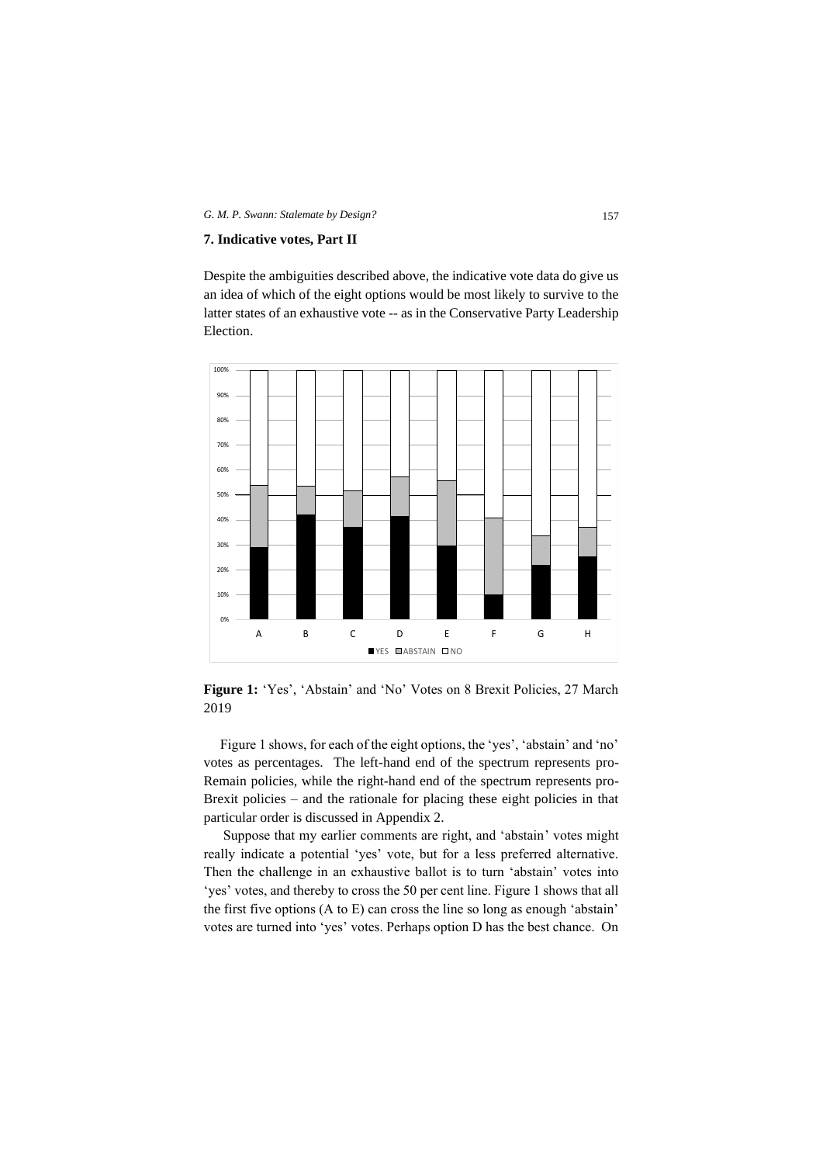#### **7. Indicative votes, Part II**

Despite the ambiguities described above, the indicative vote data do give us an idea of which of the eight options would be most likely to survive to the latter states of an exhaustive vote -- as in the Conservative Party Leadership Election.



**Figure 1:** 'Yes', 'Abstain' and 'No' Votes on 8 Brexit Policies, 27 March 2019

Figure 1 shows, for each of the eight options, the 'yes', 'abstain' and 'no' votes as percentages. The left-hand end of the spectrum represents pro-Remain policies, while the right-hand end of the spectrum represents pro-Brexit policies – and the rationale for placing these eight policies in that particular order is discussed in Appendix 2.

Suppose that my earlier comments are right, and 'abstain' votes might really indicate a potential 'yes' vote, but for a less preferred alternative. Then the challenge in an exhaustive ballot is to turn 'abstain' votes into 'yes' votes, and thereby to cross the 50 per cent line. Figure 1 shows that all the first five options (A to E) can cross the line so long as enough 'abstain' votes are turned into 'yes' votes. Perhaps option D has the best chance. On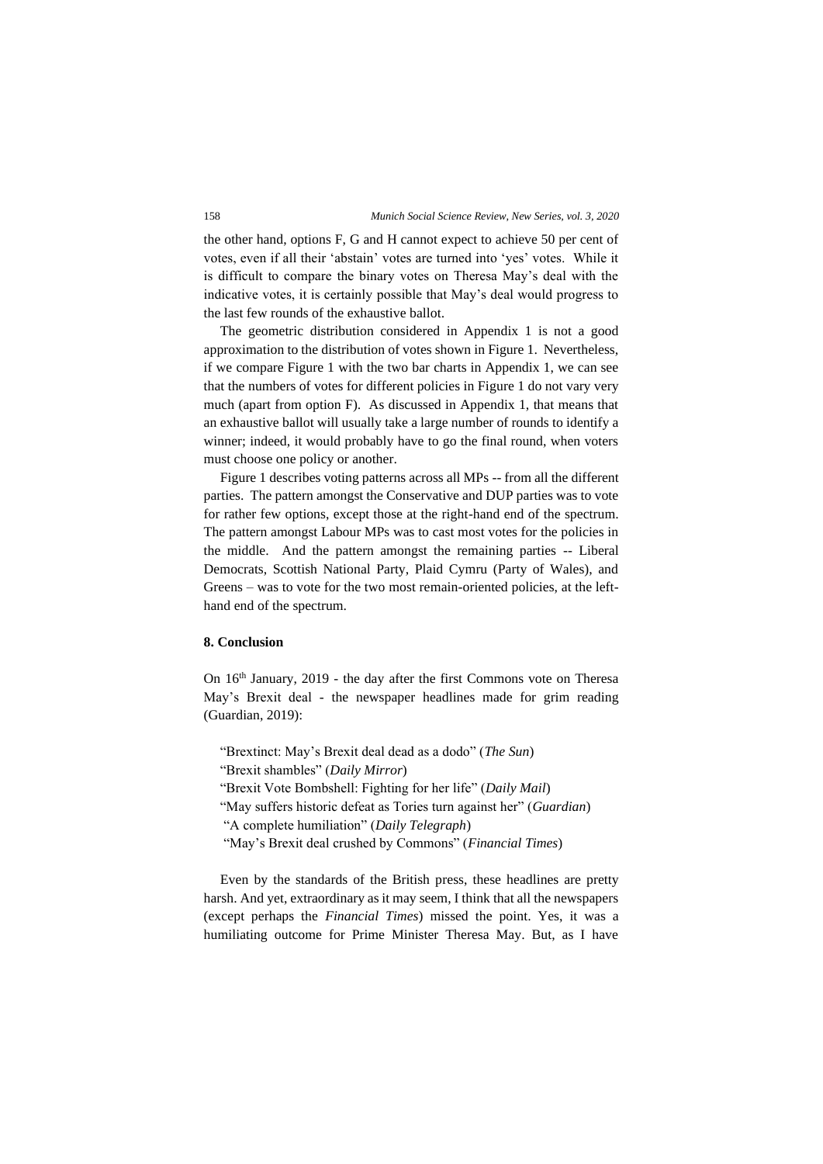the other hand, options F, G and H cannot expect to achieve 50 per cent of votes, even if all their 'abstain' votes are turned into 'yes' votes. While it is difficult to compare the binary votes on Theresa May's deal with the indicative votes, it is certainly possible that May's deal would progress to the last few rounds of the exhaustive ballot.

The geometric distribution considered in Appendix 1 is not a good approximation to the distribution of votes shown in Figure 1. Nevertheless, if we compare Figure 1 with the two bar charts in Appendix 1, we can see that the numbers of votes for different policies in Figure 1 do not vary very much (apart from option F). As discussed in Appendix 1, that means that an exhaustive ballot will usually take a large number of rounds to identify a winner; indeed, it would probably have to go the final round, when voters must choose one policy or another.

Figure 1 describes voting patterns across all MPs -- from all the different parties. The pattern amongst the Conservative and DUP parties was to vote for rather few options, except those at the right-hand end of the spectrum. The pattern amongst Labour MPs was to cast most votes for the policies in the middle. And the pattern amongst the remaining parties -- Liberal Democrats, Scottish National Party, Plaid Cymru (Party of Wales), and Greens – was to vote for the two most remain-oriented policies, at the lefthand end of the spectrum.

# **8. Conclusion**

On 16th January, 2019 - the day after the first Commons vote on Theresa May's Brexit deal - the newspaper headlines made for grim reading (Guardian, 2019):

"Brextinct: May's Brexit deal dead as a dodo" (*The Sun*)

"Brexit shambles" (*Daily Mirror*)

"Brexit Vote Bombshell: Fighting for her life" (*Daily Mail*)

"May suffers historic defeat as Tories turn against her" (*Guardian*) "A complete humiliation" (*Daily Telegraph*)

"May's Brexit deal crushed by Commons" (*Financial Times*)

Even by the standards of the British press, these headlines are pretty harsh. And yet, extraordinary as it may seem, I think that all the newspapers (except perhaps the *Financial Times*) missed the point. Yes, it was a humiliating outcome for Prime Minister Theresa May. But, as I have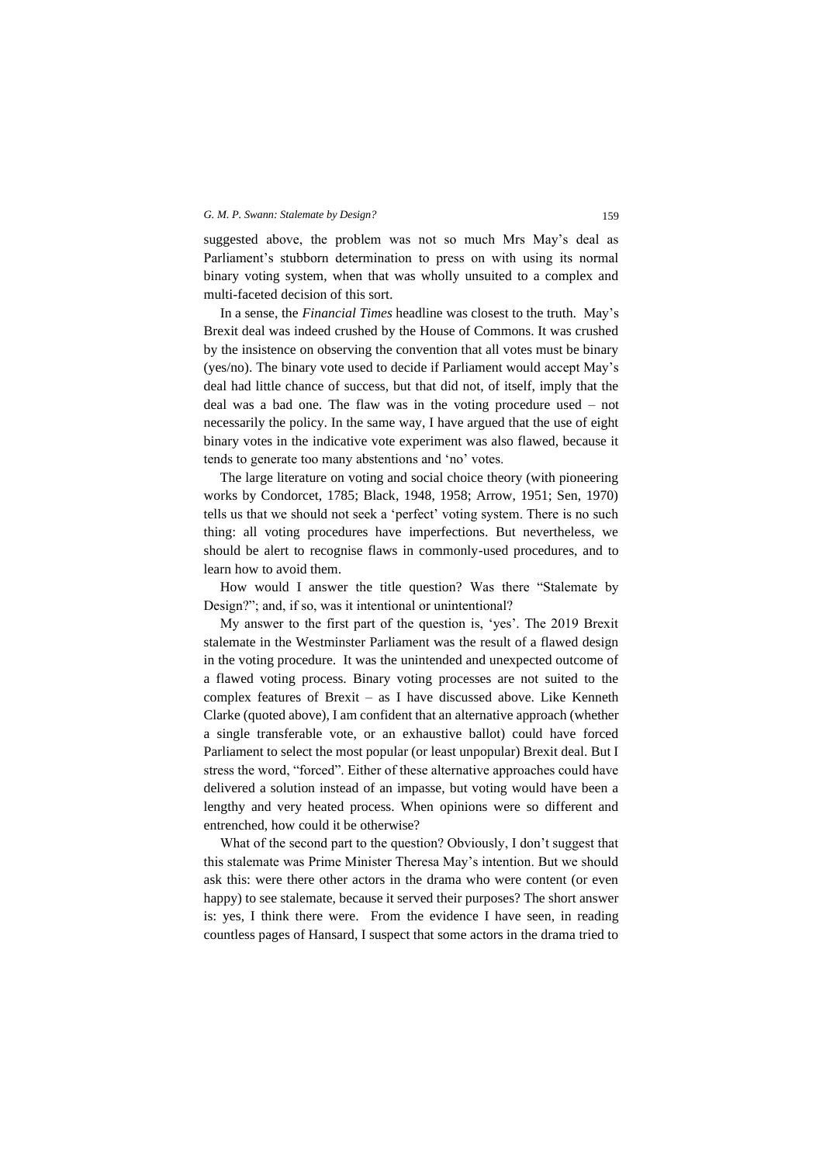suggested above, the problem was not so much Mrs May's deal as Parliament's stubborn determination to press on with using its normal binary voting system, when that was wholly unsuited to a complex and multi-faceted decision of this sort.

In a sense, the *Financial Times* headline was closest to the truth. May's Brexit deal was indeed crushed by the House of Commons. It was crushed by the insistence on observing the convention that all votes must be binary (yes/no). The binary vote used to decide if Parliament would accept May's deal had little chance of success, but that did not, of itself, imply that the deal was a bad one. The flaw was in the voting procedure used – not necessarily the policy. In the same way, I have argued that the use of eight binary votes in the indicative vote experiment was also flawed, because it tends to generate too many abstentions and 'no' votes.

The large literature on voting and social choice theory (with pioneering works by Condorcet, 1785; Black, 1948, 1958; Arrow, 1951; Sen, 1970) tells us that we should not seek a 'perfect' voting system. There is no such thing: all voting procedures have imperfections. But nevertheless, we should be alert to recognise flaws in commonly-used procedures, and to learn how to avoid them.

How would I answer the title question? Was there "Stalemate by Design?"; and, if so, was it intentional or unintentional?

My answer to the first part of the question is, 'yes'. The 2019 Brexit stalemate in the Westminster Parliament was the result of a flawed design in the voting procedure. It was the unintended and unexpected outcome of a flawed voting process. Binary voting processes are not suited to the complex features of Brexit – as I have discussed above. Like Kenneth Clarke (quoted above), I am confident that an alternative approach (whether a single transferable vote, or an exhaustive ballot) could have forced Parliament to select the most popular (or least unpopular) Brexit deal. But I stress the word, "forced". Either of these alternative approaches could have delivered a solution instead of an impasse, but voting would have been a lengthy and very heated process. When opinions were so different and entrenched, how could it be otherwise?

What of the second part to the question? Obviously, I don't suggest that this stalemate was Prime Minister Theresa May's intention. But we should ask this: were there other actors in the drama who were content (or even happy) to see stalemate, because it served their purposes? The short answer is: yes, I think there were. From the evidence I have seen, in reading countless pages of Hansard, I suspect that some actors in the drama tried to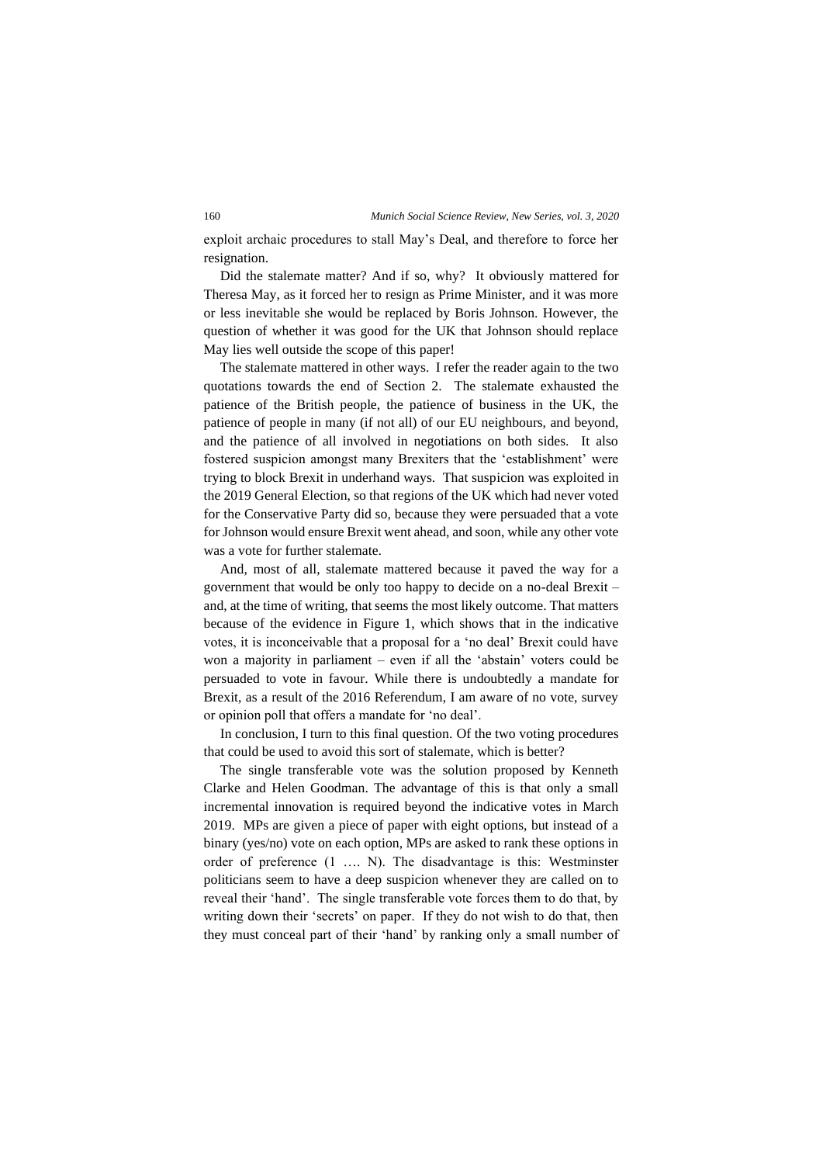exploit archaic procedures to stall May's Deal, and therefore to force her resignation.

Did the stalemate matter? And if so, why? It obviously mattered for Theresa May, as it forced her to resign as Prime Minister, and it was more or less inevitable she would be replaced by Boris Johnson. However, the question of whether it was good for the UK that Johnson should replace May lies well outside the scope of this paper!

The stalemate mattered in other ways. I refer the reader again to the two quotations towards the end of Section 2. The stalemate exhausted the patience of the British people, the patience of business in the UK, the patience of people in many (if not all) of our EU neighbours, and beyond, and the patience of all involved in negotiations on both sides. It also fostered suspicion amongst many Brexiters that the 'establishment' were trying to block Brexit in underhand ways. That suspicion was exploited in the 2019 General Election, so that regions of the UK which had never voted for the Conservative Party did so, because they were persuaded that a vote for Johnson would ensure Brexit went ahead, and soon, while any other vote was a vote for further stalemate.

And, most of all, stalemate mattered because it paved the way for a government that would be only too happy to decide on a no-deal Brexit – and, at the time of writing, that seems the most likely outcome. That matters because of the evidence in Figure 1, which shows that in the indicative votes, it is inconceivable that a proposal for a 'no deal' Brexit could have won a majority in parliament – even if all the 'abstain' voters could be persuaded to vote in favour. While there is undoubtedly a mandate for Brexit, as a result of the 2016 Referendum, I am aware of no vote, survey or opinion poll that offers a mandate for 'no deal'.

In conclusion, I turn to this final question. Of the two voting procedures that could be used to avoid this sort of stalemate, which is better?

The single transferable vote was the solution proposed by Kenneth Clarke and Helen Goodman. The advantage of this is that only a small incremental innovation is required beyond the indicative votes in March 2019. MPs are given a piece of paper with eight options, but instead of a binary (yes/no) vote on each option, MPs are asked to rank these options in order of preference (1 …. N). The disadvantage is this: Westminster politicians seem to have a deep suspicion whenever they are called on to reveal their 'hand'. The single transferable vote forces them to do that, by writing down their 'secrets' on paper. If they do not wish to do that, then they must conceal part of their 'hand' by ranking only a small number of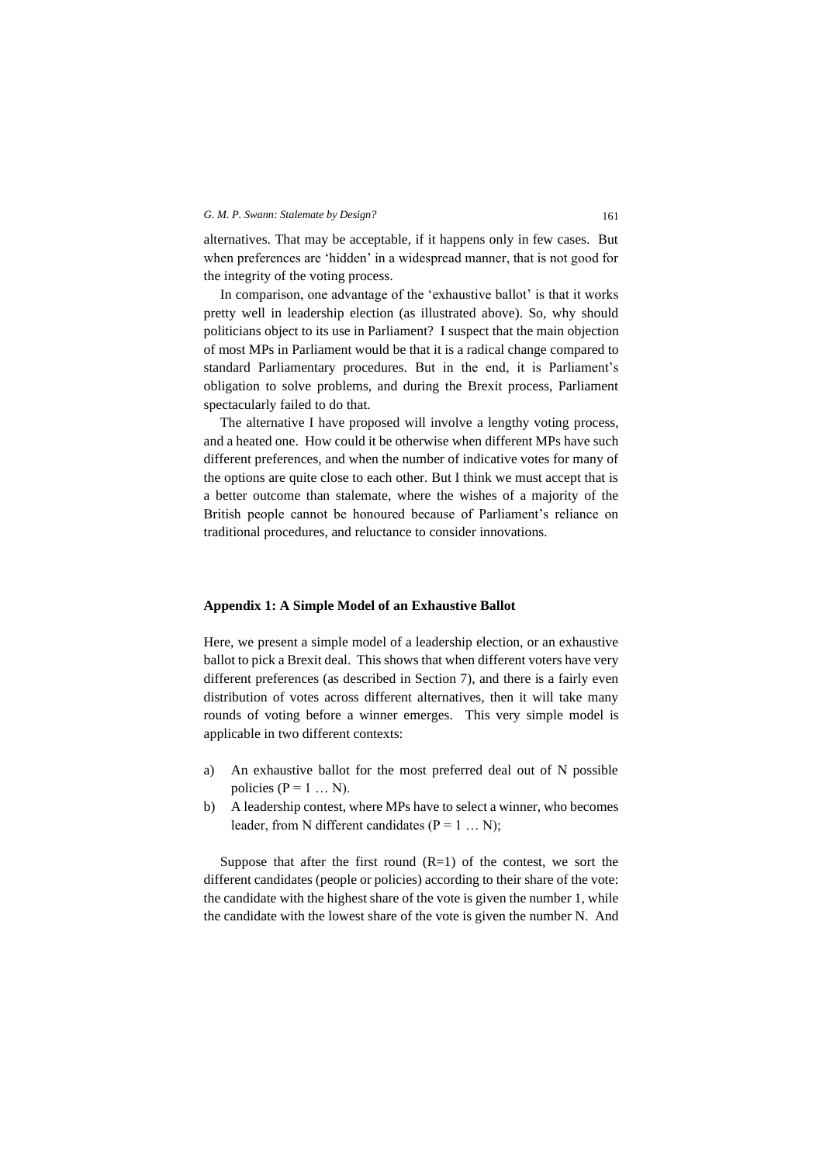alternatives. That may be acceptable, if it happens only in few cases. But when preferences are 'hidden' in a widespread manner, that is not good for the integrity of the voting process.

In comparison, one advantage of the 'exhaustive ballot' is that it works pretty well in leadership election (as illustrated above). So, why should politicians object to its use in Parliament? I suspect that the main objection of most MPs in Parliament would be that it is a radical change compared to standard Parliamentary procedures. But in the end, it is Parliament's obligation to solve problems, and during the Brexit process, Parliament spectacularly failed to do that.

The alternative I have proposed will involve a lengthy voting process, and a heated one. How could it be otherwise when different MPs have such different preferences, and when the number of indicative votes for many of the options are quite close to each other. But I think we must accept that is a better outcome than stalemate, where the wishes of a majority of the British people cannot be honoured because of Parliament's reliance on traditional procedures, and reluctance to consider innovations.

#### **Appendix 1: A Simple Model of an Exhaustive Ballot**

Here, we present a simple model of a leadership election, or an exhaustive ballot to pick a Brexit deal. This shows that when different voters have very different preferences (as described in Section 7), and there is a fairly even distribution of votes across different alternatives, then it will take many rounds of voting before a winner emerges. This very simple model is applicable in two different contexts:

- a) An exhaustive ballot for the most preferred deal out of N possible policies ( $P = 1$  ... N).
- b) A leadership contest, where MPs have to select a winner, who becomes leader, from N different candidates ( $P = 1 ... N$ );

Suppose that after the first round  $(R=1)$  of the contest, we sort the different candidates (people or policies) according to their share of the vote: the candidate with the highest share of the vote is given the number 1, while the candidate with the lowest share of the vote is given the number N. And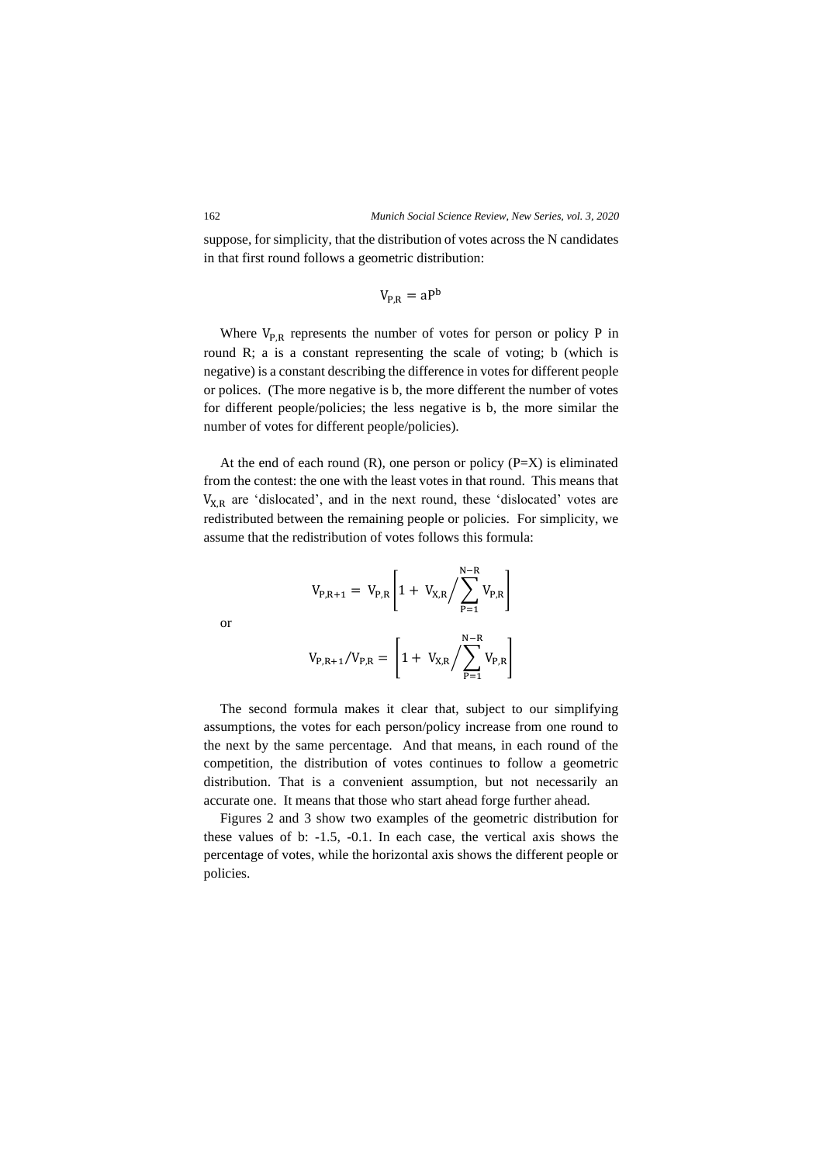suppose, for simplicity, that the distribution of votes across the N candidates in that first round follows a geometric distribution:

$$
V_{P,R} = aP^b
$$

Where  $V_{P,R}$  represents the number of votes for person or policy P in round R; a is a constant representing the scale of voting; b (which is negative) is a constant describing the difference in votes for different people or polices. (The more negative is b, the more different the number of votes for different people/policies; the less negative is b, the more similar the number of votes for different people/policies).

At the end of each round  $(R)$ , one person or policy  $(P=X)$  is eliminated from the contest: the one with the least votes in that round. This means that  $V_{X,R}$  are 'dislocated', and in the next round, these 'dislocated' votes are redistributed between the remaining people or policies. For simplicity, we assume that the redistribution of votes follows this formula:

$$
V_{P,R+1} = V_{P,R} \left[ 1 + V_{X,R} / \sum_{P=1}^{N-R} V_{P,R} \right]
$$

or

$$
V_{P,R+1}/V_{P,R} = \left[1 + V_{X,R} / \sum_{P=1}^{N-R} V_{P,R}\right]
$$

The second formula makes it clear that, subject to our simplifying assumptions, the votes for each person/policy increase from one round to the next by the same percentage. And that means, in each round of the competition, the distribution of votes continues to follow a geometric distribution. That is a convenient assumption, but not necessarily an accurate one. It means that those who start ahead forge further ahead.

Figures 2 and 3 show two examples of the geometric distribution for these values of b: -1.5, -0.1. In each case, the vertical axis shows the percentage of votes, while the horizontal axis shows the different people or policies.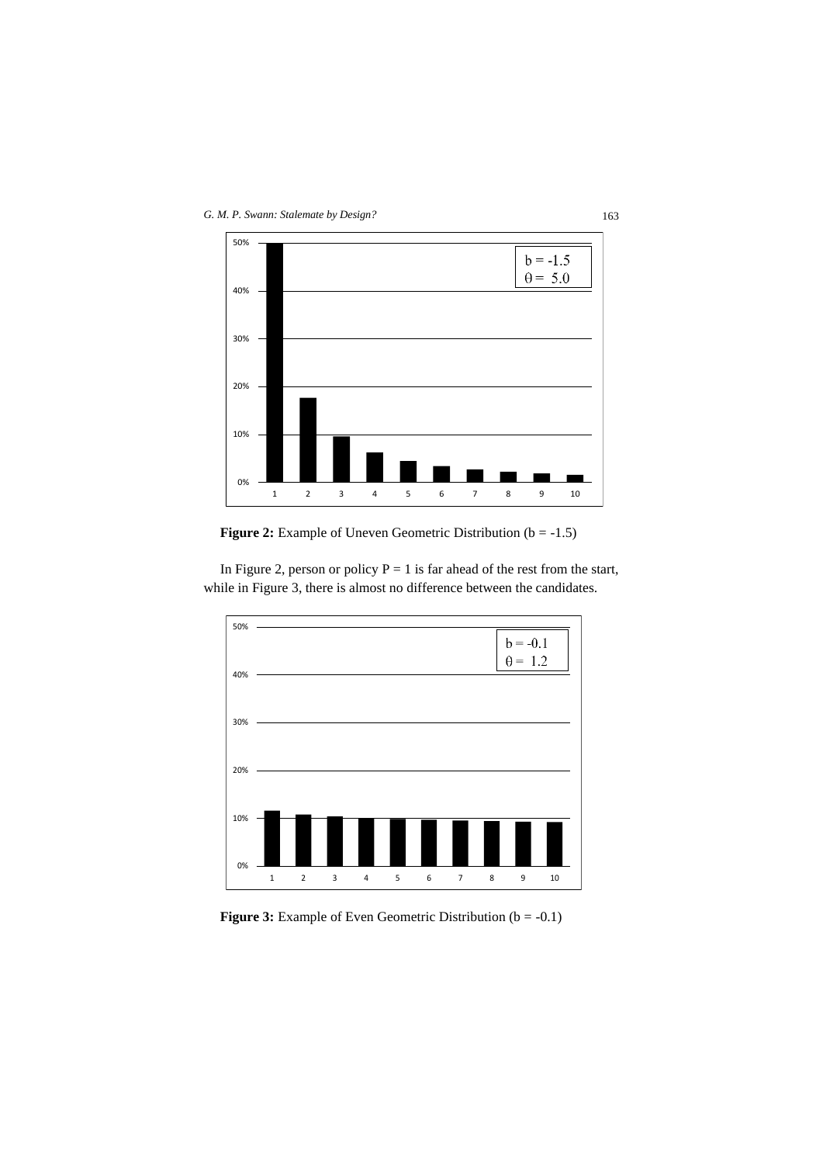

**Figure 2:** Example of Uneven Geometric Distribution (b = -1.5)



In Figure 2, person or policy  $P = 1$  is far ahead of the rest from the start, while in Figure 3, there is almost no difference between the candidates.

**Figure 3:** Example of Even Geometric Distribution (b = -0.1)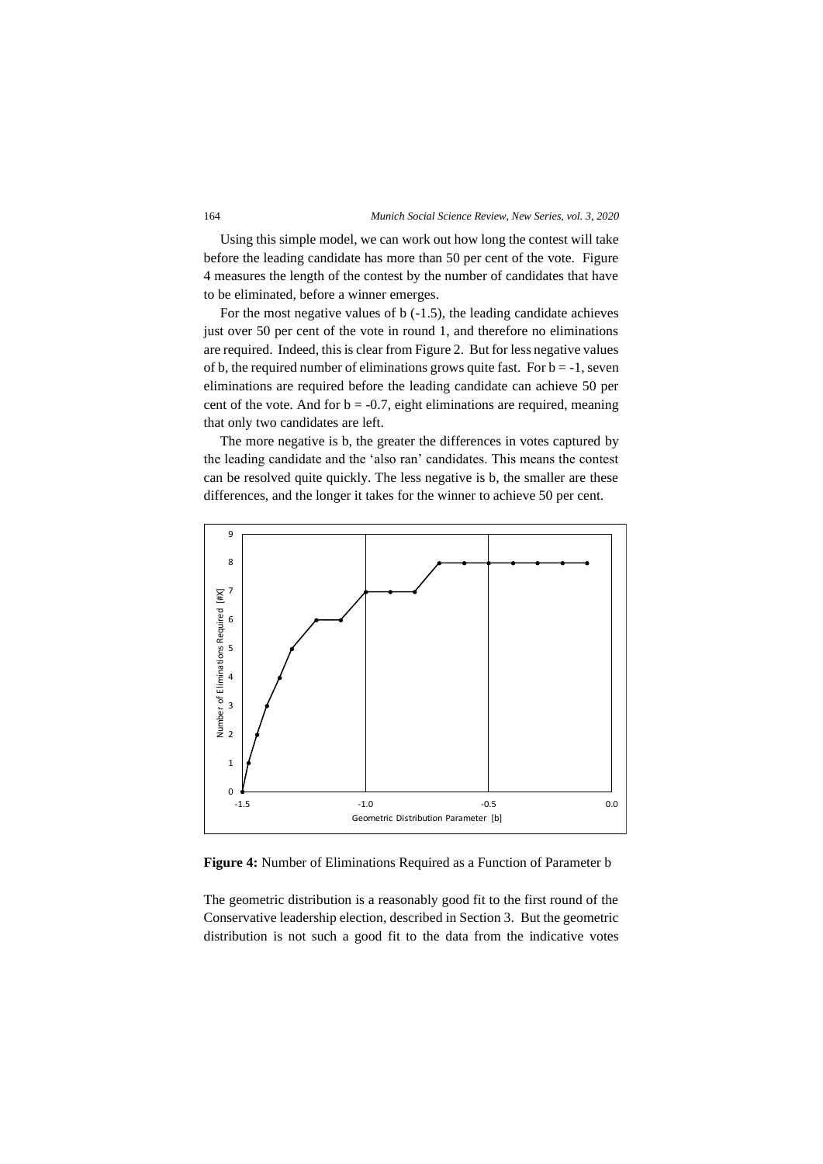Using this simple model, we can work out how long the contest will take before the leading candidate has more than 50 per cent of the vote. Figure 4 measures the length of the contest by the number of candidates that have to be eliminated, before a winner emerges.

For the most negative values of  $b$  (-1.5), the leading candidate achieves just over 50 per cent of the vote in round 1, and therefore no eliminations are required. Indeed, this is clear from Figure 2. But for less negative values of b, the required number of eliminations grows quite fast. For  $b = -1$ , seven eliminations are required before the leading candidate can achieve 50 per cent of the vote. And for  $b = -0.7$ , eight eliminations are required, meaning that only two candidates are left.

The more negative is b, the greater the differences in votes captured by the leading candidate and the 'also ran' candidates. This means the contest can be resolved quite quickly. The less negative is b, the smaller are these differences, and the longer it takes for the winner to achieve 50 per cent.



**Figure 4:** Number of Eliminations Required as a Function of Parameter b

The geometric distribution is a reasonably good fit to the first round of the Conservative leadership election, described in Section 3. But the geometric distribution is not such a good fit to the data from the indicative votes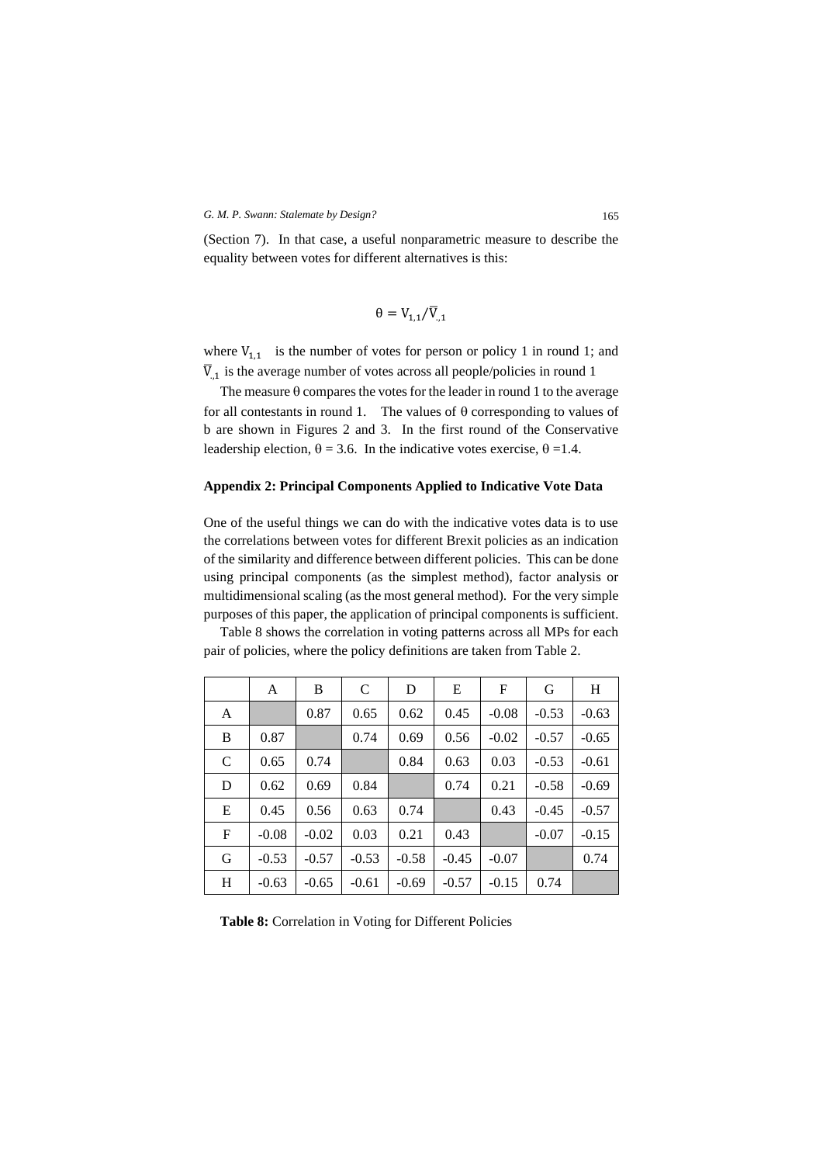(Section 7). In that case, a useful nonparametric measure to describe the equality between votes for different alternatives is this:

$$
\theta = V_{1,1}/\overline{V}_{,1}
$$

where  $V_{1,1}$  is the number of votes for person or policy 1 in round 1; and  $\overline{V}_{,1}$  is the average number of votes across all people/policies in round 1

The measure  $\theta$  compares the votes for the leader in round 1 to the average for all contestants in round 1. The values of  $\theta$  corresponding to values of b are shown in Figures 2 and 3. In the first round of the Conservative leadership election,  $\theta = 3.6$ . In the indicative votes exercise,  $\theta = 1.4$ .

# **Appendix 2: Principal Components Applied to Indicative Vote Data**

One of the useful things we can do with the indicative votes data is to use the correlations between votes for different Brexit policies as an indication of the similarity and difference between different policies. This can be done using principal components (as the simplest method), factor analysis or multidimensional scaling (as the most general method). For the very simple purposes of this paper, the application of principal components is sufficient.

Table 8 shows the correlation in voting patterns across all MPs for each pair of policies, where the policy definitions are taken from Table 2.

|              | A       | B       | $\mathbf C$ | D       | E       | F       | G       | H       |
|--------------|---------|---------|-------------|---------|---------|---------|---------|---------|
| A            |         | 0.87    | 0.65        | 0.62    | 0.45    | $-0.08$ | $-0.53$ | $-0.63$ |
| B            | 0.87    |         | 0.74        | 0.69    | 0.56    | $-0.02$ | $-0.57$ | $-0.65$ |
| $\mathsf{C}$ | 0.65    | 0.74    |             | 0.84    | 0.63    | 0.03    | $-0.53$ | $-0.61$ |
| D            | 0.62    | 0.69    | 0.84        |         | 0.74    | 0.21    | $-0.58$ | $-0.69$ |
| E            | 0.45    | 0.56    | 0.63        | 0.74    |         | 0.43    | $-0.45$ | $-0.57$ |
| $\mathbf{F}$ | $-0.08$ | $-0.02$ | 0.03        | 0.21    | 0.43    |         | $-0.07$ | $-0.15$ |
| G            | $-0.53$ | $-0.57$ | $-0.53$     | $-0.58$ | $-0.45$ | $-0.07$ |         | 0.74    |
| H            | $-0.63$ | $-0.65$ | $-0.61$     | $-0.69$ | $-0.57$ | $-0.15$ | 0.74    |         |

**Table 8:** Correlation in Voting for Different Policies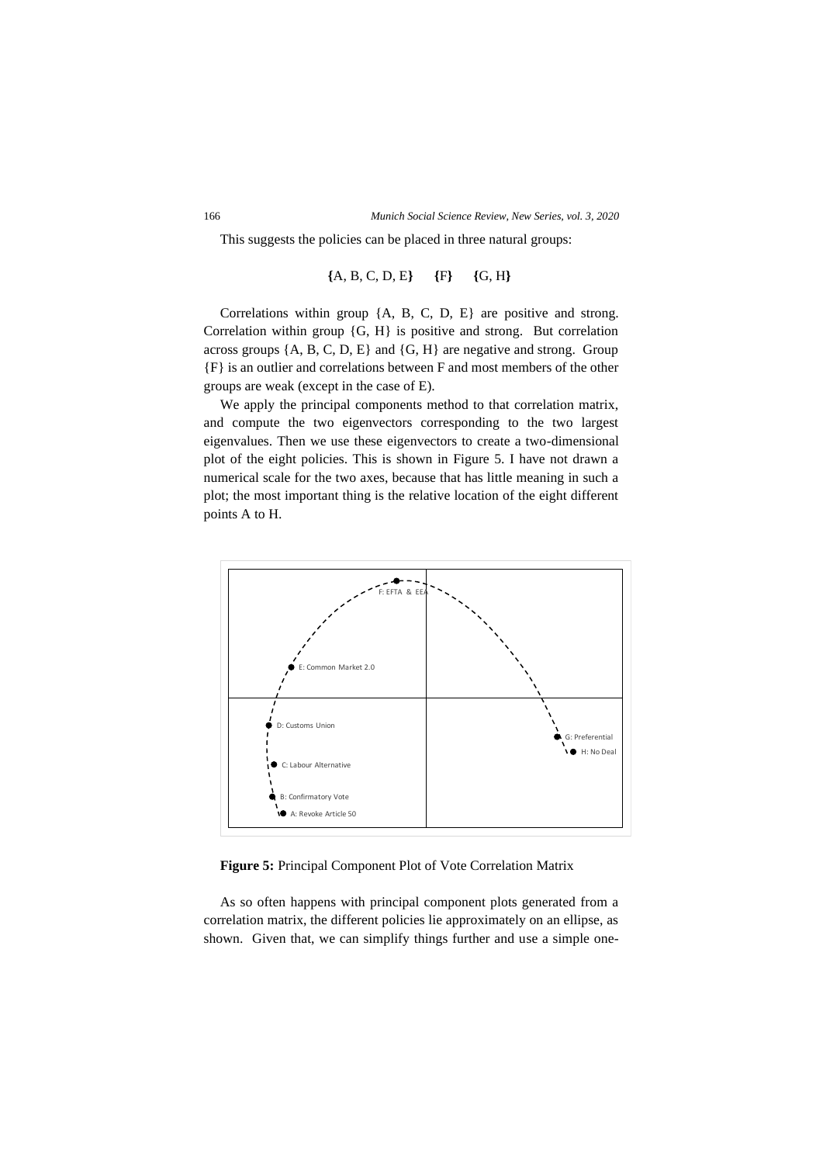This suggests the policies can be placed in three natural groups:

**{**A, B, C, D, E**} {**F**} {**G, H**}**

Correlations within group {A, B, C, D, E} are positive and strong. Correlation within group {G, H} is positive and strong. But correlation across groups  $\{A, B, C, D, E\}$  and  $\{G, H\}$  are negative and strong. Group {F} is an outlier and correlations between F and most members of the other groups are weak (except in the case of E).

We apply the principal components method to that correlation matrix, and compute the two eigenvectors corresponding to the two largest eigenvalues. Then we use these eigenvectors to create a two-dimensional plot of the eight policies. This is shown in Figure 5. I have not drawn a numerical scale for the two axes, because that has little meaning in such a plot; the most important thing is the relative location of the eight different points A to H.



**Figure 5:** Principal Component Plot of Vote Correlation Matrix

As so often happens with principal component plots generated from a correlation matrix, the different policies lie approximately on an ellipse, as shown. Given that, we can simplify things further and use a simple one-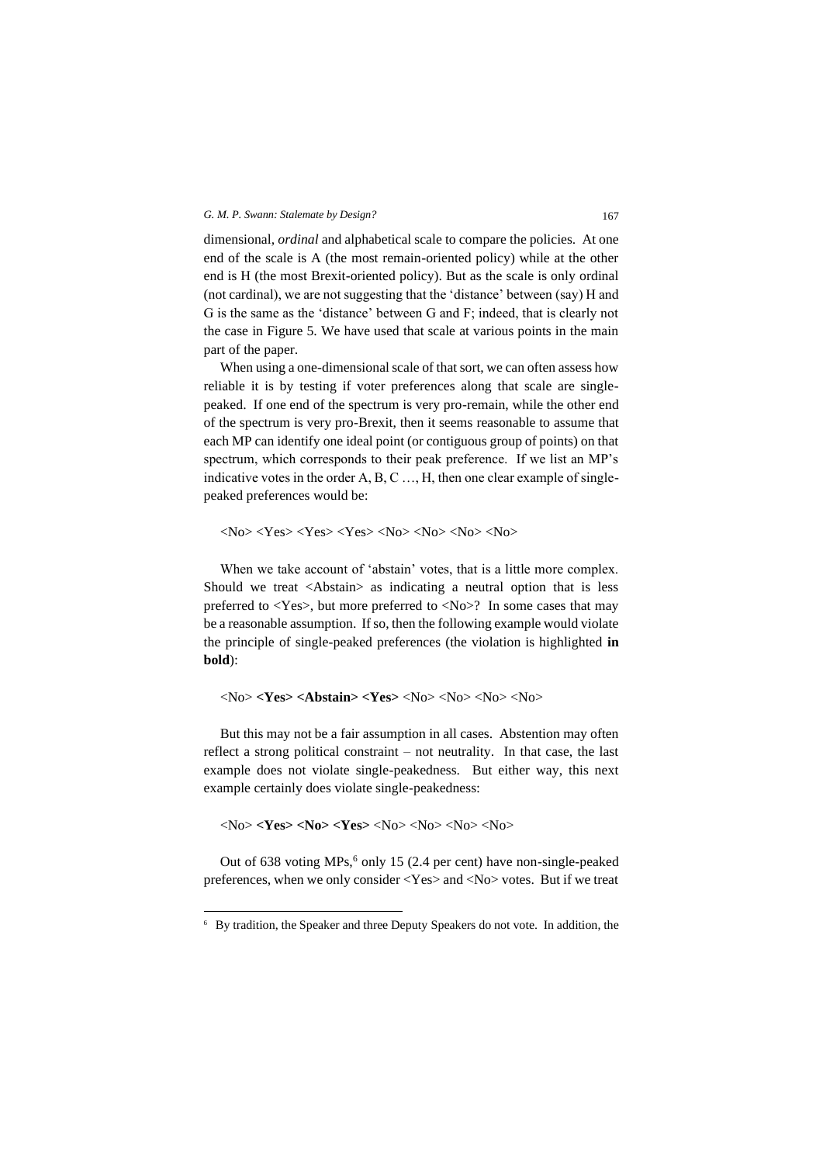dimensional, *ordinal* and alphabetical scale to compare the policies. At one end of the scale is A (the most remain-oriented policy) while at the other end is H (the most Brexit-oriented policy). But as the scale is only ordinal (not cardinal), we are not suggesting that the 'distance' between (say) H and G is the same as the 'distance' between G and F; indeed, that is clearly not the case in Figure 5. We have used that scale at various points in the main part of the paper.

When using a one-dimensional scale of that sort, we can often assess how reliable it is by testing if voter preferences along that scale are singlepeaked. If one end of the spectrum is very pro-remain, while the other end of the spectrum is very pro-Brexit, then it seems reasonable to assume that each MP can identify one ideal point (or contiguous group of points) on that spectrum, which corresponds to their peak preference. If we list an MP's indicative votes in the order A, B, C …, H, then one clear example of singlepeaked preferences would be:

 $\langle N_0 \rangle \langle Yes \rangle \langle Yes \rangle \langle Yes \rangle \langle No \rangle \langle No \rangle \langle No \rangle \langle No \rangle$ 

When we take account of 'abstain' votes, that is a little more complex. Should we treat <Abstain> as indicating a neutral option that is less preferred to <Yes>, but more preferred to <No>? In some cases that may be a reasonable assumption. If so, then the following example would violate the principle of single-peaked preferences (the violation is highlighted **in bold**):

<No> **<Yes> <Abstain> <Yes>** <No> <No> <No> <No>

But this may not be a fair assumption in all cases. Abstention may often reflect a strong political constraint – not neutrality. In that case, the last example does not violate single-peakedness. But either way, this next example certainly does violate single-peakedness:

<No> **<Yes> <No> <Yes>** <No> <No> <No> <No>

Out of 638 voting MPs,<sup>6</sup> only 15 (2.4 per cent) have non-single-peaked preferences, when we only consider <Yes> and <No> votes. But if we treat

<sup>6</sup> By tradition, the Speaker and three Deputy Speakers do not vote. In addition, the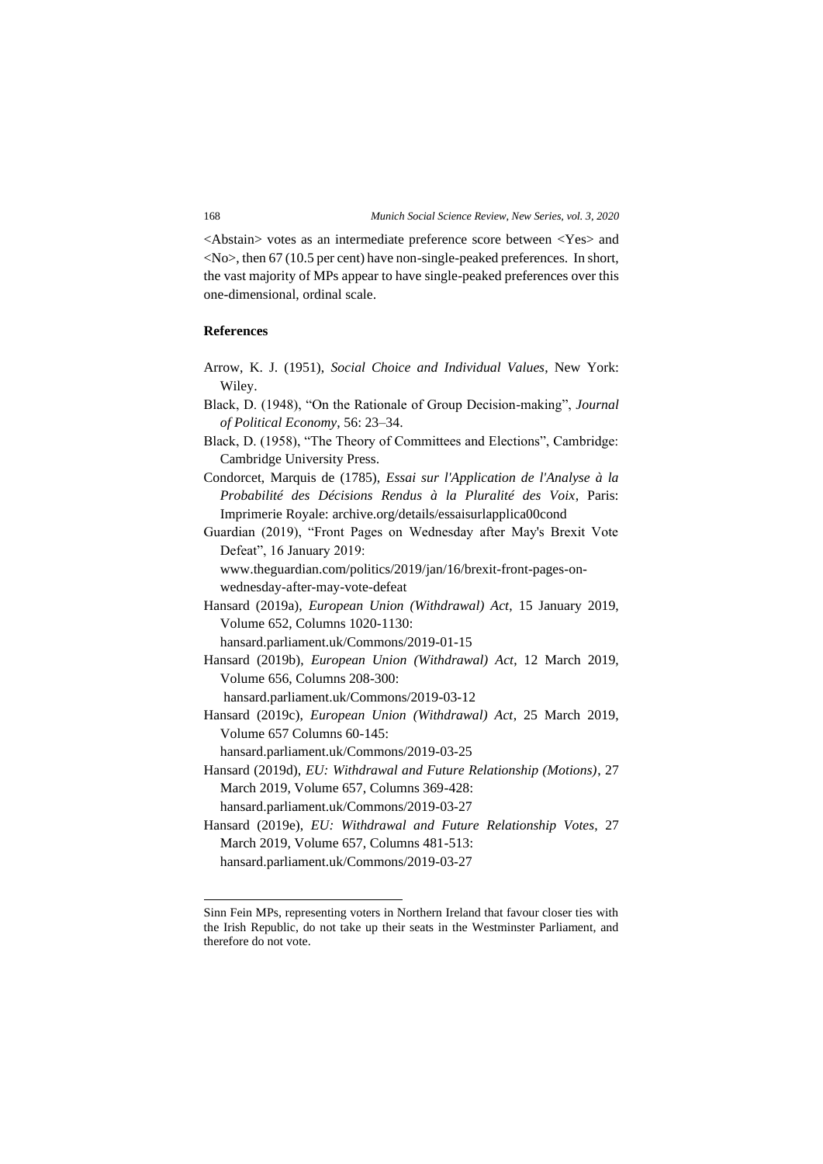<Abstain> votes as an intermediate preference score between <Yes> and  $\langle$ No $\rangle$ , then 67 (10.5 per cent) have non-single-peaked preferences. In short, the vast majority of MPs appear to have single-peaked preferences over this one-dimensional, ordinal scale.

### **References**

- Arrow, K. J. (1951), *Social Choice and Individual Values*, New York: Wiley.
- Black, D. (1948), "On the Rationale of Group Decision-making", *Journal of Political Economy*, 56: 23–34.
- Black, D. (1958), "The Theory of Committees and Elections", Cambridge: Cambridge University Press.
- Condorcet, Marquis de (1785), *Essai sur l'Application de l'Analyse à la Probabilité des Décisions Rendus à la Pluralité des Voix*, Paris: Imprimerie Royale: [archive.org/details/essaisurlapplica00cond](https://archive.org/details/essaisurlapplica00cond)
- Guardian (2019), "Front Pages on Wednesday after May's Brexit Vote Defeat", 16 January 2019:

[www.theguardian.com/politics/2019/jan/16/brexit-front-pages-on](http://www.theguardian.com/politics/2019/jan/16/brexit-front-pages-on-wednesday-after-may-vote-defeat)[wednesday-after-may-vote-defeat](http://www.theguardian.com/politics/2019/jan/16/brexit-front-pages-on-wednesday-after-may-vote-defeat)

Hansard (2019a), *European Union (Withdrawal) Act*, 15 January 2019, Volume 652, Columns 1020-1130:

[hansard.parliament.uk/Commons/2019-01-15](https://hansard.parliament.uk/Commons/2019-01-15)

Hansard (2019b), *European Union (Withdrawal) Act*, 12 March 2019, Volume 656, Columns 208-300:

[hansard.parliament.uk/Commons/2019-03-12](https://hansard.parliament.uk/Commons/2019-03-12)

Hansard (2019c), *European Union (Withdrawal) Act*, 25 March 2019, Volume 657 Columns 60-145:

[hansard.parliament.uk/Commons/2019-03-25](https://hansard.parliament.uk/Commons/2019-03-25)

Hansard (2019d), *EU: Withdrawal and Future Relationship (Motions)*, 27 March 2019, Volume 657, Columns 369-428:

[hansard.parliament.uk/Commons/2019-03-27](https://hansard.parliament.uk/Commons/2019-03-27)

Hansard (2019e), *EU: Withdrawal and Future Relationship Votes*, 27 March 2019, Volume 657, Columns 481-513: [hansard.parliament.uk/Commons/2019-03-27](https://hansard.parliament.uk/Commons/2019-03-27)

Sinn Fein MPs, representing voters in Northern Ireland that favour closer ties with the Irish Republic, do not take up their seats in the Westminster Parliament, and therefore do not vote.